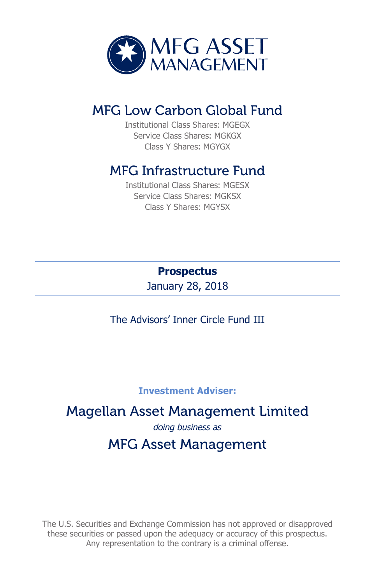

# MFG Low Carbon Global Fund

Institutional Class Shares: MGEGX Service Class Shares: MGKGX Class Y Shares: MGYGX

# MFG Infrastructure Fund

Institutional Class Shares: MGESX Service Class Shares: MGKSX Class Y Shares: MGYSX

> **Prospectus** January 28, 2018

The Advisors' Inner Circle Fund III

#### **Investment Adviser:**

# Magellan Asset Management Limited *doing business as* MFG Asset Management

The U.S. Securities and Exchange Commission has not approved or disapproved these securities or passed upon the adequacy or accuracy of this prospectus. Any representation to the contrary is a criminal offense.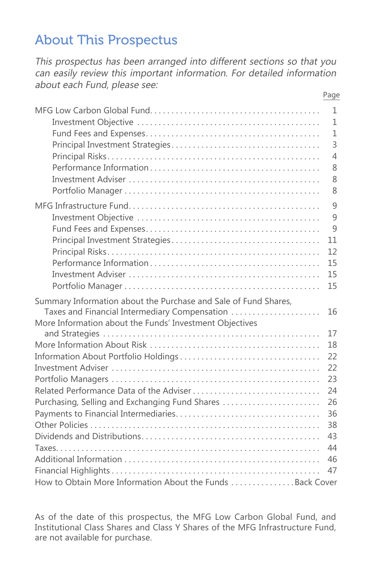# About This Prospectus

This prospectus has been arranged into different sections so that you can easily review this important information. For detailed information about each Fund, please see: Page

|                                                                 | 1              |
|-----------------------------------------------------------------|----------------|
|                                                                 | $\mathbf{1}$   |
|                                                                 | $\mathbf{1}$   |
|                                                                 | $\overline{3}$ |
|                                                                 | $\overline{4}$ |
|                                                                 | 8              |
|                                                                 | 8              |
|                                                                 | 8              |
|                                                                 | 9              |
|                                                                 | 9              |
|                                                                 | $\mathbf{Q}$   |
|                                                                 | 11             |
|                                                                 | 12             |
|                                                                 | 15             |
|                                                                 | 15             |
|                                                                 | 15             |
|                                                                 |                |
| Summary Information about the Purchase and Sale of Fund Shares, |                |
| Taxes and Financial Intermediary Compensation                   | 16             |
| More Information about the Funds' Investment Objectives         |                |
|                                                                 | 17             |
|                                                                 | 18             |
|                                                                 | 22             |
|                                                                 | 22             |
|                                                                 | 23             |
| Related Performance Data of the Adviser                         | 24             |
| Purchasing, Selling and Exchanging Fund Shares                  | 26             |
|                                                                 | 36             |
|                                                                 | 38             |
|                                                                 | 43             |
|                                                                 | 44             |
|                                                                 | 46             |
|                                                                 | 47             |
| How to Obtain More Information About the Funds Back Cover       |                |

As of the date of this prospectus, the MFG Low Carbon Global Fund, and Institutional Class Shares and Class Y Shares of the MFG Infrastructure Fund, are not available for purchase.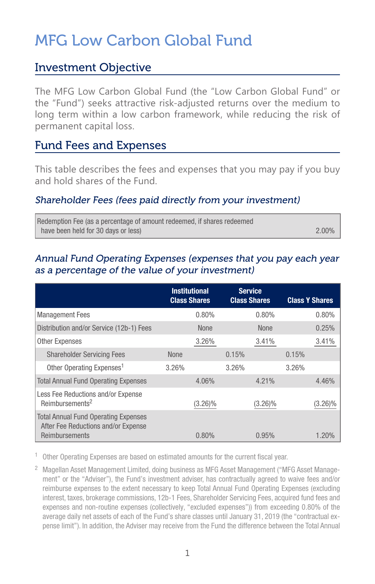# MFG Low Carbon Global Fund

### Investment Objective

The MFG Low Carbon Global Fund (the "Low Carbon Global Fund" or the "Fund") seeks attractive risk-adjusted returns over the medium to long term within a low carbon framework, while reducing the risk of permanent capital loss.

### Fund Fees and Expenses

This table describes the fees and expenses that you may pay if you buy and hold shares of the Fund.

#### Shareholder Fees (fees paid directly from your investment)

| Redemption Fee (as a percentage of amount redeemed, if shares redeemed |          |
|------------------------------------------------------------------------|----------|
| have been held for 30 days or less)                                    | $2.00\%$ |

#### Annual Fund Operating Expenses (expenses that you pay each year as a percentage of the value of your investment)

|                                                                                                      |             | <b>Institutional</b><br><b>Class Shares</b> |       | <b>Service</b><br><b>Class Shares</b> |       | <b>Class Y Shares</b> |
|------------------------------------------------------------------------------------------------------|-------------|---------------------------------------------|-------|---------------------------------------|-------|-----------------------|
| <b>Management Fees</b>                                                                               |             | 0.80%                                       |       | 0.80%                                 |       | 0.80%                 |
| Distribution and/or Service (12b-1) Fees                                                             |             | <b>None</b>                                 |       | <b>None</b>                           |       | 0.25%                 |
| <b>Other Expenses</b>                                                                                |             | 3.26%                                       |       | 3.41%                                 |       | 3.41%                 |
| <b>Shareholder Servicing Fees</b>                                                                    | <b>None</b> |                                             | 0.15% |                                       | 0.15% |                       |
| Other Operating Expenses <sup>1</sup>                                                                | 3.26%       |                                             | 3.26% |                                       | 3.26% |                       |
| <b>Total Annual Fund Operating Expenses</b>                                                          |             | 4.06%                                       |       | 4.21%                                 |       | 4.46%                 |
| Less Fee Reductions and/or Expense<br>Reimbursements <sup>2</sup>                                    |             | $(3.26)\%$                                  |       | $(3.26)\%$                            |       | (3.26)%               |
| <b>Total Annual Fund Operating Expenses</b><br>After Fee Reductions and/or Expense<br>Reimbursements |             | $0.80\%$                                    |       | 0.95%                                 |       | $1.20\%$              |

 $1$  Other Operating Expenses are based on estimated amounts for the current fiscal year.

<sup>2</sup> Magellan Asset Management Limited, doing business as MFG Asset Management ("MFG Asset Management" or the "Adviser"), the Fund's investment adviser, has contractually agreed to waive fees and/or reimburse expenses to the extent necessary to keep Total Annual Fund Operating Expenses (excluding interest, taxes, brokerage commissions, 12b-1 Fees, Shareholder Servicing Fees, acquired fund fees and expenses and non-routine expenses (collectively, "excluded expenses")) from exceeding 0.80% of the average daily net assets of each of the Fund's share classes until January 31, 2019 (the "contractual expense limit"). In addition, the Adviser may receive from the Fund the difference between the Total Annual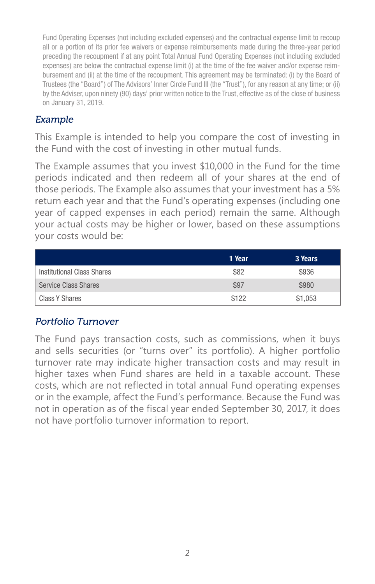Fund Operating Expenses (not including excluded expenses) and the contractual expense limit to recoup all or a portion of its prior fee waivers or expense reimbursements made during the three-year period preceding the recoupment if at any point Total Annual Fund Operating Expenses (not including excluded expenses) are below the contractual expense limit (i) at the time of the fee waiver and/or expense reimbursement and (ii) at the time of the recoupment. This agreement may be terminated: (i) by the Board of Trustees (the "Board") of The Advisors' Inner Circle Fund III (the "Trust"), for any reason at any time; or (ii) by the Adviser, upon ninety (90) days' prior written notice to the Trust, effective as of the close of business on January 31, 2019.

#### Example

This Example is intended to help you compare the cost of investing in the Fund with the cost of investing in other mutual funds.

The Example assumes that you invest \$10,000 in the Fund for the time periods indicated and then redeem all of your shares at the end of those periods. The Example also assumes that your investment has a 5% return each year and that the Fund's operating expenses (including one year of capped expenses in each period) remain the same. Although your actual costs may be higher or lower, based on these assumptions your costs would be:

|                            | 1 Year | 3 Years |
|----------------------------|--------|---------|
| Institutional Class Shares | \$82   | \$936   |
| Service Class Shares       | \$97   | \$980   |
| Class Y Shares             | \$122  | \$1,053 |

#### Portfolio Turnover

The Fund pays transaction costs, such as commissions, when it buys and sells securities (or "turns over" its portfolio). A higher portfolio turnover rate may indicate higher transaction costs and may result in higher taxes when Fund shares are held in a taxable account. These costs, which are not reflected in total annual Fund operating expenses or in the example, affect the Fund's performance. Because the Fund was not in operation as of the fiscal year ended September 30, 2017, it does not have portfolio turnover information to report.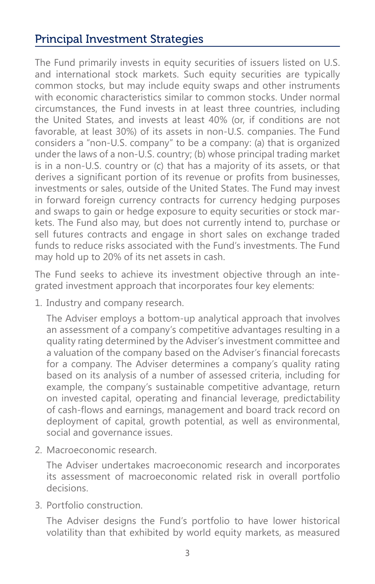# Principal Investment Strategies

The Fund primarily invests in equity securities of issuers listed on U.S. and international stock markets. Such equity securities are typically common stocks, but may include equity swaps and other instruments with economic characteristics similar to common stocks. Under normal circumstances, the Fund invests in at least three countries, including the United States, and invests at least 40% (or, if conditions are not favorable, at least 30%) of its assets in non-U.S. companies. The Fund considers a "non-U.S. company" to be a company: (a) that is organized under the laws of a non-U.S. country; (b) whose principal trading market is in a non-U.S. country or (c) that has a majority of its assets, or that derives a significant portion of its revenue or profits from businesses, investments or sales, outside of the United States. The Fund may invest in forward foreign currency contracts for currency hedging purposes and swaps to gain or hedge exposure to equity securities or stock markets. The Fund also may, but does not currently intend to, purchase or sell futures contracts and engage in short sales on exchange traded funds to reduce risks associated with the Fund's investments. The Fund may hold up to 20% of its net assets in cash.

The Fund seeks to achieve its investment objective through an integrated investment approach that incorporates four key elements:

1. Industry and company research.

The Adviser employs a bottom-up analytical approach that involves an assessment of a company's competitive advantages resulting in a quality rating determined by the Adviser's investment committee and a valuation of the company based on the Adviser's financial forecasts for a company. The Adviser determines a company's quality rating based on its analysis of a number of assessed criteria, including for example, the company's sustainable competitive advantage, return on invested capital, operating and financial leverage, predictability of cash-flows and earnings, management and board track record on deployment of capital, growth potential, as well as environmental, social and governance issues.

2. Macroeconomic research.

The Adviser undertakes macroeconomic research and incorporates its assessment of macroeconomic related risk in overall portfolio decisions.

3. Portfolio construction.

The Adviser designs the Fund's portfolio to have lower historical volatility than that exhibited by world equity markets, as measured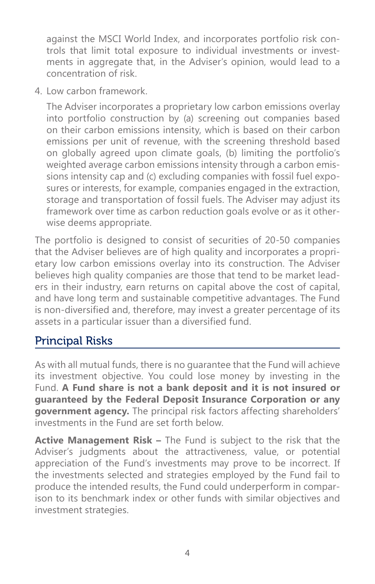against the MSCI World Index, and incorporates portfolio risk controls that limit total exposure to individual investments or investments in aggregate that, in the Adviser's opinion, would lead to a concentration of risk.

4. Low carbon framework.

The Adviser incorporates a proprietary low carbon emissions overlay into portfolio construction by (a) screening out companies based on their carbon emissions intensity, which is based on their carbon emissions per unit of revenue, with the screening threshold based on globally agreed upon climate goals, (b) limiting the portfolio's weighted average carbon emissions intensity through a carbon emissions intensity cap and (c) excluding companies with fossil fuel exposures or interests, for example, companies engaged in the extraction, storage and transportation of fossil fuels. The Adviser may adjust its framework over time as carbon reduction goals evolve or as it otherwise deems appropriate.

The portfolio is designed to consist of securities of 20-50 companies that the Adviser believes are of high quality and incorporates a proprietary low carbon emissions overlay into its construction. The Adviser believes high quality companies are those that tend to be market leaders in their industry, earn returns on capital above the cost of capital, and have long term and sustainable competitive advantages. The Fund is non-diversified and, therefore, may invest a greater percentage of its assets in a particular issuer than a diversified fund.

# Principal Risks

As with all mutual funds, there is no guarantee that the Fund will achieve its investment objective. You could lose money by investing in the Fund. **A Fund share is not a bank deposit and it is not insured or guaranteed by the Federal Deposit Insurance Corporation or any government agency.** The principal risk factors affecting shareholders' investments in the Fund are set forth below.

**Active Management Risk –** The Fund is subject to the risk that the Adviser's judgments about the attractiveness, value, or potential appreciation of the Fund's investments may prove to be incorrect. If the investments selected and strategies employed by the Fund fail to produce the intended results, the Fund could underperform in comparison to its benchmark index or other funds with similar objectives and investment strategies.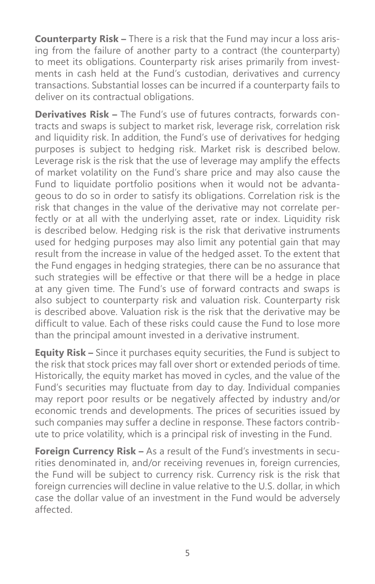**Counterparty Risk –** There is a risk that the Fund may incur a loss arising from the failure of another party to a contract (the counterparty) to meet its obligations. Counterparty risk arises primarily from investments in cash held at the Fund's custodian, derivatives and currency transactions. Substantial losses can be incurred if a counterparty fails to deliver on its contractual obligations.

**Derivatives Risk –** The Fund's use of futures contracts, forwards contracts and swaps is subject to market risk, leverage risk, correlation risk and liquidity risk. In addition, the Fund's use of derivatives for hedging purposes is subject to hedging risk. Market risk is described below. Leverage risk is the risk that the use of leverage may amplify the effects of market volatility on the Fund's share price and may also cause the Fund to liquidate portfolio positions when it would not be advantageous to do so in order to satisfy its obligations. Correlation risk is the risk that changes in the value of the derivative may not correlate perfectly or at all with the underlying asset, rate or index. Liquidity risk is described below. Hedging risk is the risk that derivative instruments used for hedging purposes may also limit any potential gain that may result from the increase in value of the hedged asset. To the extent that the Fund engages in hedging strategies, there can be no assurance that such strategies will be effective or that there will be a hedge in place at any given time. The Fund's use of forward contracts and swaps is also subject to counterparty risk and valuation risk. Counterparty risk is described above. Valuation risk is the risk that the derivative may be difficult to value. Each of these risks could cause the Fund to lose more than the principal amount invested in a derivative instrument.

**Equity Risk –** Since it purchases equity securities, the Fund is subject to the risk that stock prices may fall over short or extended periods of time. Historically, the equity market has moved in cycles, and the value of the Fund's securities may fluctuate from day to day. Individual companies may report poor results or be negatively affected by industry and/or economic trends and developments. The prices of securities issued by such companies may suffer a decline in response. These factors contribute to price volatility, which is a principal risk of investing in the Fund.

**Foreign Currency Risk –** As a result of the Fund's investments in securities denominated in, and/or receiving revenues in, foreign currencies, the Fund will be subject to currency risk. Currency risk is the risk that foreign currencies will decline in value relative to the U.S. dollar, in which case the dollar value of an investment in the Fund would be adversely affected.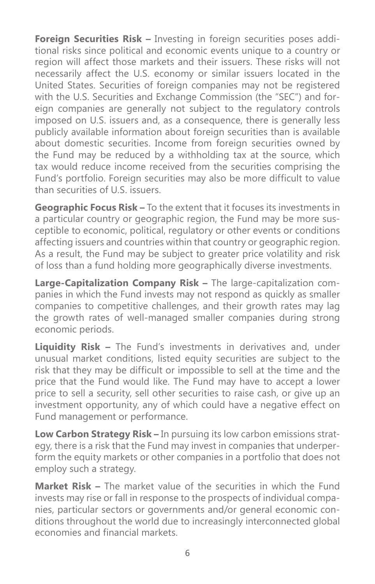**Foreign Securities Risk –** Investing in foreign securities poses additional risks since political and economic events unique to a country or region will affect those markets and their issuers. These risks will not necessarily affect the U.S. economy or similar issuers located in the United States. Securities of foreign companies may not be registered with the U.S. Securities and Exchange Commission (the "SEC") and foreign companies are generally not subject to the regulatory controls imposed on U.S. issuers and, as a consequence, there is generally less publicly available information about foreign securities than is available about domestic securities. Income from foreign securities owned by the Fund may be reduced by a withholding tax at the source, which tax would reduce income received from the securities comprising the Fund's portfolio. Foreign securities may also be more difficult to value than securities of U.S. issuers.

**Geographic Focus Risk –** To the extent that it focuses its investments in a particular country or geographic region, the Fund may be more susceptible to economic, political, regulatory or other events or conditions affecting issuers and countries within that country or geographic region. As a result, the Fund may be subject to greater price volatility and risk of loss than a fund holding more geographically diverse investments.

**Large-Capitalization Company Risk –** The large-capitalization companies in which the Fund invests may not respond as quickly as smaller companies to competitive challenges, and their growth rates may lag the growth rates of well-managed smaller companies during strong economic periods.

**Liquidity Risk –** The Fund's investments in derivatives and, under unusual market conditions, listed equity securities are subject to the risk that they may be difficult or impossible to sell at the time and the price that the Fund would like. The Fund may have to accept a lower price to sell a security, sell other securities to raise cash, or give up an investment opportunity, any of which could have a negative effect on Fund management or performance.

**Low Carbon Strategy Risk –** In pursuing its low carbon emissions strategy, there is a risk that the Fund may invest in companies that underperform the equity markets or other companies in a portfolio that does not employ such a strategy.

**Market Risk –** The market value of the securities in which the Fund invests may rise or fall in response to the prospects of individual companies, particular sectors or governments and/or general economic conditions throughout the world due to increasingly interconnected global economies and financial markets.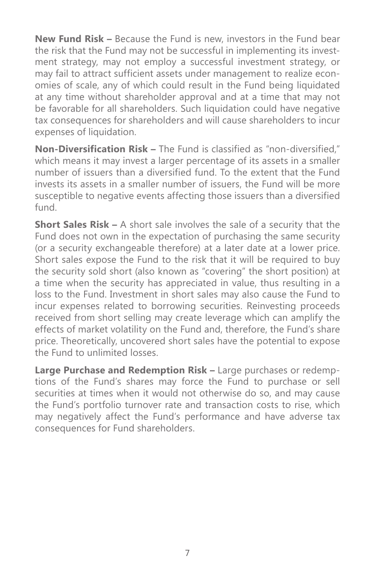**New Fund Risk –** Because the Fund is new, investors in the Fund bear the risk that the Fund may not be successful in implementing its investment strategy, may not employ a successful investment strategy, or may fail to attract sufficient assets under management to realize economies of scale, any of which could result in the Fund being liquidated at any time without shareholder approval and at a time that may not be favorable for all shareholders. Such liquidation could have negative tax consequences for shareholders and will cause shareholders to incur expenses of liquidation.

**Non-Diversification Risk –** The Fund is classified as "non-diversified," which means it may invest a larger percentage of its assets in a smaller number of issuers than a diversified fund. To the extent that the Fund invests its assets in a smaller number of issuers, the Fund will be more susceptible to negative events affecting those issuers than a diversified fund.

**Short Sales Risk –** A short sale involves the sale of a security that the Fund does not own in the expectation of purchasing the same security (or a security exchangeable therefore) at a later date at a lower price. Short sales expose the Fund to the risk that it will be required to buy the security sold short (also known as "covering" the short position) at a time when the security has appreciated in value, thus resulting in a loss to the Fund. Investment in short sales may also cause the Fund to incur expenses related to borrowing securities. Reinvesting proceeds received from short selling may create leverage which can amplify the effects of market volatility on the Fund and, therefore, the Fund's share price. Theoretically, uncovered short sales have the potential to expose the Fund to unlimited losses.

**Large Purchase and Redemption Risk –** Large purchases or redemptions of the Fund's shares may force the Fund to purchase or sell securities at times when it would not otherwise do so, and may cause the Fund's portfolio turnover rate and transaction costs to rise, which may negatively affect the Fund's performance and have adverse tax consequences for Fund shareholders.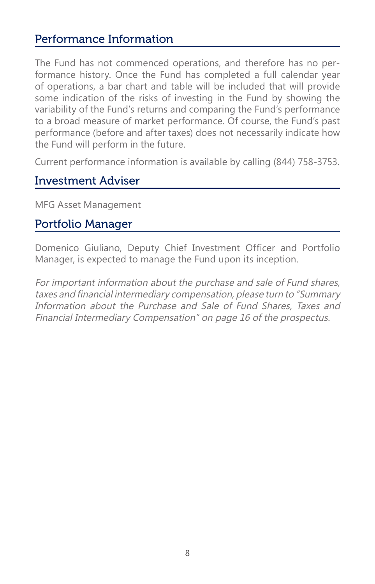# Performance Information

The Fund has not commenced operations, and therefore has no performance history. Once the Fund has completed a full calendar year of operations, a bar chart and table will be included that will provide some indication of the risks of investing in the Fund by showing the variability of the Fund's returns and comparing the Fund's performance to a broad measure of market performance. Of course, the Fund's past performance (before and after taxes) does not necessarily indicate how the Fund will perform in the future.

Current performance information is available by calling (844) 758-3753.

# Investment Adviser

MFG Asset Management

# Portfolio Manager

Domenico Giuliano, Deputy Chief Investment Officer and Portfolio Manager, is expected to manage the Fund upon its inception.

For important information about the purchase and sale of Fund shares, taxes and financial intermediary compensation, please turn to "Summary Information about the Purchase and Sale of Fund Shares, Taxes and Financial Intermediary Compensation" on page 16 of the prospectus.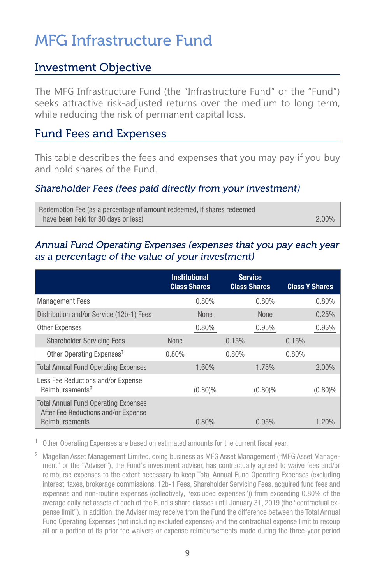# MFG Infrastructure Fund

### Investment Objective

The MFG Infrastructure Fund (the "Infrastructure Fund" or the "Fund") seeks attractive risk-adjusted returns over the medium to long term, while reducing the risk of permanent capital loss.

### Fund Fees and Expenses

This table describes the fees and expenses that you may pay if you buy and hold shares of the Fund.

#### Shareholder Fees (fees paid directly from your investment)

Redemption Fee (as a percentage of amount redeemed, if shares redeemed have been held for 30 days or less) 2.00% and 2.00% and 2.00% and 2.00% and 2.00% and 2.00% and 2.00% and 2.00%

#### Annual Fund Operating Expenses (expenses that you pay each year as a percentage of the value of your investment)

|                                                                                                      | <b>Institutional</b><br><b>Class Shares</b> | <b>Service</b><br><b>Class Shares</b> | <b>Class Y Shares</b> |
|------------------------------------------------------------------------------------------------------|---------------------------------------------|---------------------------------------|-----------------------|
| <b>Management Fees</b>                                                                               | 0.80%                                       | 0.80%                                 | 0.80%                 |
| Distribution and/or Service (12b-1) Fees                                                             | None                                        | <b>None</b>                           | 0.25%                 |
| <b>Other Expenses</b>                                                                                | 0.80%                                       | 0.95%                                 | 0.95%                 |
| <b>Shareholder Servicing Fees</b>                                                                    | <b>None</b>                                 | 0.15%                                 | 0.15%                 |
| Other Operating Expenses <sup>1</sup>                                                                | 0.80%                                       | 0.80%                                 | 0.80%                 |
| <b>Total Annual Fund Operating Expenses</b>                                                          | 1.60%                                       | 1.75%                                 | 2.00%                 |
| Less Fee Reductions and/or Expense<br>Reimbursements <sup>2</sup>                                    | $(0.80)\%$                                  | $(0.80)\%$                            | $(0.80)\%$            |
| <b>Total Annual Fund Operating Expenses</b><br>After Fee Reductions and/or Expense<br>Reimbursements | $0.80\%$                                    | 0.95%                                 | 1.20%                 |

 $1$  Other Operating Expenses are based on estimated amounts for the current fiscal year.

<sup>2</sup> Magellan Asset Management Limited, doing business as MFG Asset Management ("MFG Asset Management" or the "Adviser"), the Fund's investment adviser, has contractually agreed to waive fees and/or reimburse expenses to the extent necessary to keep Total Annual Fund Operating Expenses (excluding interest, taxes, brokerage commissions, 12b-1 Fees, Shareholder Servicing Fees, acquired fund fees and expenses and non-routine expenses (collectively, "excluded expenses")) from exceeding 0.80% of the average daily net assets of each of the Fund's share classes until January 31, 2019 (the "contractual expense limit"). In addition, the Adviser may receive from the Fund the difference between the Total Annual Fund Operating Expenses (not including excluded expenses) and the contractual expense limit to recoup all or a portion of its prior fee waivers or expense reimbursements made during the three-year period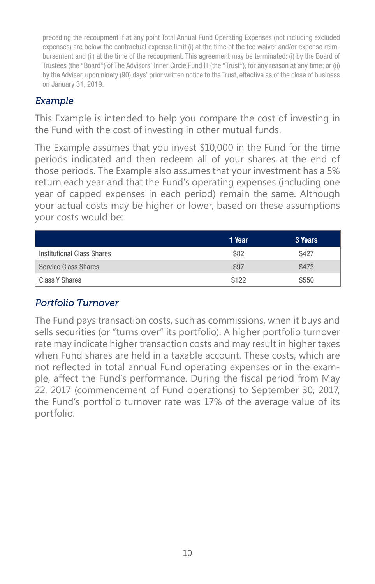preceding the recoupment if at any point Total Annual Fund Operating Expenses (not including excluded expenses) are below the contractual expense limit (i) at the time of the fee waiver and/or expense reimbursement and (ii) at the time of the recoupment. This agreement may be terminated: (i) by the Board of Trustees (the "Board") of The Advisors' Inner Circle Fund III (the "Trust"), for any reason at any time; or (ii) by the Adviser, upon ninety (90) days' prior written notice to the Trust, effective as of the close of business on January 31, 2019.

#### Example

This Example is intended to help you compare the cost of investing in the Fund with the cost of investing in other mutual funds.

The Example assumes that you invest \$10,000 in the Fund for the time periods indicated and then redeem all of your shares at the end of those periods. The Example also assumes that your investment has a 5% return each year and that the Fund's operating expenses (including one year of capped expenses in each period) remain the same. Although your actual costs may be higher or lower, based on these assumptions your costs would be:

|                            | 1 Year | 3 Years |
|----------------------------|--------|---------|
| Institutional Class Shares | \$82   | \$427   |
| Service Class Shares       | \$97   | \$473   |
| Class Y Shares             | \$122  | \$550   |

#### Portfolio Turnover

The Fund pays transaction costs, such as commissions, when it buys and sells securities (or "turns over" its portfolio). A higher portfolio turnover rate may indicate higher transaction costs and may result in higher taxes when Fund shares are held in a taxable account. These costs, which are not reflected in total annual Fund operating expenses or in the example, affect the Fund's performance. During the fiscal period from May 22, 2017 (commencement of Fund operations) to September 30, 2017, the Fund's portfolio turnover rate was 17% of the average value of its portfolio.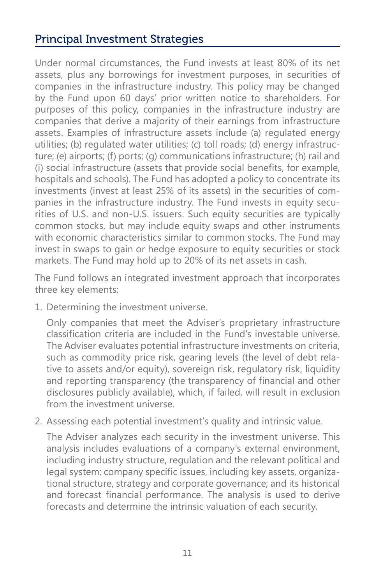# Principal Investment Strategies

Under normal circumstances, the Fund invests at least 80% of its net assets, plus any borrowings for investment purposes, in securities of companies in the infrastructure industry. This policy may be changed by the Fund upon 60 days' prior written notice to shareholders. For purposes of this policy, companies in the infrastructure industry are companies that derive a majority of their earnings from infrastructure assets. Examples of infrastructure assets include (a) regulated energy utilities; (b) regulated water utilities; (c) toll roads; (d) energy infrastructure; (e) airports; (f) ports; (g) communications infrastructure; (h) rail and (i) social infrastructure (assets that provide social benefits, for example, hospitals and schools). The Fund has adopted a policy to concentrate its investments (invest at least 25% of its assets) in the securities of companies in the infrastructure industry. The Fund invests in equity securities of U.S. and non-U.S. issuers. Such equity securities are typically common stocks, but may include equity swaps and other instruments with economic characteristics similar to common stocks. The Fund may invest in swaps to gain or hedge exposure to equity securities or stock markets. The Fund may hold up to 20% of its net assets in cash.

The Fund follows an integrated investment approach that incorporates three key elements:

1. Determining the investment universe.

Only companies that meet the Adviser's proprietary infrastructure classification criteria are included in the Fund's investable universe. The Adviser evaluates potential infrastructure investments on criteria, such as commodity price risk, gearing levels (the level of debt relative to assets and/or equity), sovereign risk, regulatory risk, liquidity and reporting transparency (the transparency of financial and other disclosures publicly available), which, if failed, will result in exclusion from the investment universe.

2. Assessing each potential investment's quality and intrinsic value.

The Adviser analyzes each security in the investment universe. This analysis includes evaluations of a company's external environment, including industry structure, regulation and the relevant political and legal system; company specific issues, including key assets, organizational structure, strategy and corporate governance; and its historical and forecast financial performance. The analysis is used to derive forecasts and determine the intrinsic valuation of each security.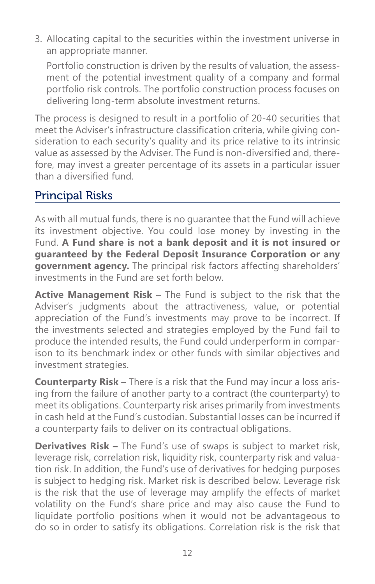3. Allocating capital to the securities within the investment universe in an appropriate manner.

Portfolio construction is driven by the results of valuation, the assessment of the potential investment quality of a company and formal portfolio risk controls. The portfolio construction process focuses on delivering long-term absolute investment returns.

The process is designed to result in a portfolio of 20-40 securities that meet the Adviser's infrastructure classification criteria, while giving consideration to each security's quality and its price relative to its intrinsic value as assessed by the Adviser. The Fund is non-diversified and, therefore, may invest a greater percentage of its assets in a particular issuer than a diversified fund.

# Principal Risks

As with all mutual funds, there is no guarantee that the Fund will achieve its investment objective. You could lose money by investing in the Fund. **A Fund share is not a bank deposit and it is not insured or guaranteed by the Federal Deposit Insurance Corporation or any government agency.** The principal risk factors affecting shareholders' investments in the Fund are set forth below.

**Active Management Risk –** The Fund is subject to the risk that the Adviser's judgments about the attractiveness, value, or potential appreciation of the Fund's investments may prove to be incorrect. If the investments selected and strategies employed by the Fund fail to produce the intended results, the Fund could underperform in comparison to its benchmark index or other funds with similar objectives and investment strategies.

**Counterparty Risk –** There is a risk that the Fund may incur a loss arising from the failure of another party to a contract (the counterparty) to meet its obligations. Counterparty risk arises primarily from investments in cash held at the Fund's custodian. Substantial losses can be incurred if a counterparty fails to deliver on its contractual obligations.

**Derivatives Risk –** The Fund's use of swaps is subject to market risk, leverage risk, correlation risk, liquidity risk, counterparty risk and valuation risk. In addition, the Fund's use of derivatives for hedging purposes is subject to hedging risk. Market risk is described below. Leverage risk is the risk that the use of leverage may amplify the effects of market volatility on the Fund's share price and may also cause the Fund to liquidate portfolio positions when it would not be advantageous to do so in order to satisfy its obligations. Correlation risk is the risk that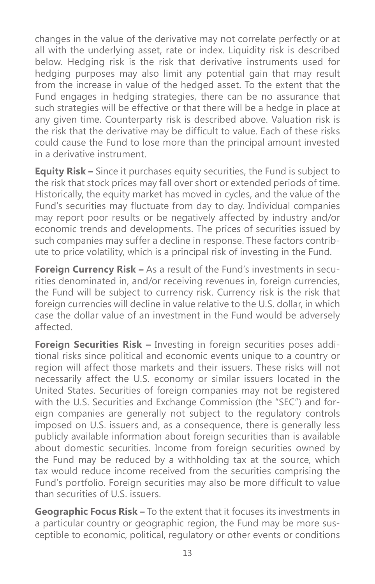changes in the value of the derivative may not correlate perfectly or at all with the underlying asset, rate or index. Liquidity risk is described below. Hedging risk is the risk that derivative instruments used for hedging purposes may also limit any potential gain that may result from the increase in value of the hedged asset. To the extent that the Fund engages in hedging strategies, there can be no assurance that such strategies will be effective or that there will be a hedge in place at any given time. Counterparty risk is described above. Valuation risk is the risk that the derivative may be difficult to value. Each of these risks could cause the Fund to lose more than the principal amount invested in a derivative instrument.

**Equity Risk –** Since it purchases equity securities, the Fund is subject to the risk that stock prices may fall over short or extended periods of time. Historically, the equity market has moved in cycles, and the value of the Fund's securities may fluctuate from day to day. Individual companies may report poor results or be negatively affected by industry and/or economic trends and developments. The prices of securities issued by such companies may suffer a decline in response. These factors contribute to price volatility, which is a principal risk of investing in the Fund.

**Foreign Currency Risk –** As a result of the Fund's investments in securities denominated in, and/or receiving revenues in, foreign currencies, the Fund will be subject to currency risk. Currency risk is the risk that foreign currencies will decline in value relative to the U.S. dollar, in which case the dollar value of an investment in the Fund would be adversely affected.

**Foreign Securities Risk –** Investing in foreign securities poses additional risks since political and economic events unique to a country or region will affect those markets and their issuers. These risks will not necessarily affect the U.S. economy or similar issuers located in the United States. Securities of foreign companies may not be registered with the U.S. Securities and Exchange Commission (the "SEC") and foreign companies are generally not subject to the regulatory controls imposed on U.S. issuers and, as a consequence, there is generally less publicly available information about foreign securities than is available about domestic securities. Income from foreign securities owned by the Fund may be reduced by a withholding tax at the source, which tax would reduce income received from the securities comprising the Fund's portfolio. Foreign securities may also be more difficult to value than securities of U.S. issuers.

**Geographic Focus Risk –** To the extent that it focuses its investments in a particular country or geographic region, the Fund may be more susceptible to economic, political, regulatory or other events or conditions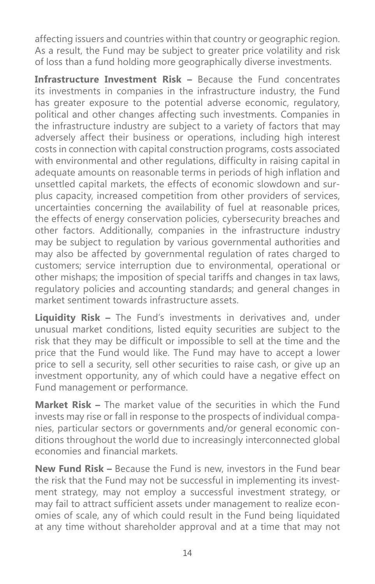affecting issuers and countries within that country or geographic region. As a result, the Fund may be subject to greater price volatility and risk of loss than a fund holding more geographically diverse investments.

**Infrastructure Investment Risk –** Because the Fund concentrates its investments in companies in the infrastructure industry, the Fund has greater exposure to the potential adverse economic, regulatory, political and other changes affecting such investments. Companies in the infrastructure industry are subject to a variety of factors that may adversely affect their business or operations, including high interest costs in connection with capital construction programs, costs associated with environmental and other regulations, difficulty in raising capital in adequate amounts on reasonable terms in periods of high inflation and unsettled capital markets, the effects of economic slowdown and surplus capacity, increased competition from other providers of services, uncertainties concerning the availability of fuel at reasonable prices, the effects of energy conservation policies, cybersecurity breaches and other factors. Additionally, companies in the infrastructure industry may be subject to regulation by various governmental authorities and may also be affected by governmental regulation of rates charged to customers; service interruption due to environmental, operational or other mishaps; the imposition of special tariffs and changes in tax laws, regulatory policies and accounting standards; and general changes in market sentiment towards infrastructure assets.

**Liquidity Risk –** The Fund's investments in derivatives and, under unusual market conditions, listed equity securities are subject to the risk that they may be difficult or impossible to sell at the time and the price that the Fund would like. The Fund may have to accept a lower price to sell a security, sell other securities to raise cash, or give up an investment opportunity, any of which could have a negative effect on Fund management or performance.

**Market Risk –** The market value of the securities in which the Fund invests may rise or fall in response to the prospects of individual companies, particular sectors or governments and/or general economic conditions throughout the world due to increasingly interconnected global economies and financial markets.

**New Fund Risk –** Because the Fund is new, investors in the Fund bear the risk that the Fund may not be successful in implementing its investment strategy, may not employ a successful investment strategy, or may fail to attract sufficient assets under management to realize economies of scale, any of which could result in the Fund being liquidated at any time without shareholder approval and at a time that may not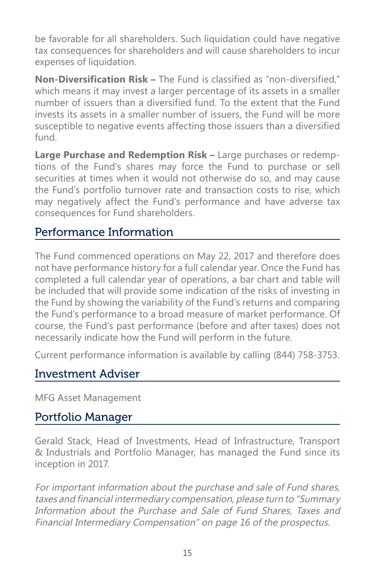be favorable for all shareholders. Such liquidation could have negative tax consequences for shareholders and will cause shareholders to incur expenses of liquidation.

**Non-Diversification Risk –** The Fund is classified as "non-diversified," which means it may invest a larger percentage of its assets in a smaller number of issuers than a diversified fund. To the extent that the Fund invests its assets in a smaller number of issuers, the Fund will be more susceptible to negative events affecting those issuers than a diversified fund.

**Large Purchase and Redemption Risk –** Large purchases or redemptions of the Fund's shares may force the Fund to purchase or sell securities at times when it would not otherwise do so, and may cause the Fund's portfolio turnover rate and transaction costs to rise, which may negatively affect the Fund's performance and have adverse tax consequences for Fund shareholders.

### Performance Information

The Fund commenced operations on May 22, 2017 and therefore does not have performance history for a full calendar year. Once the Fund has completed a full calendar year of operations, a bar chart and table will be included that will provide some indication of the risks of investing in the Fund by showing the variability of the Fund's returns and comparing the Fund's performance to a broad measure of market performance. Of course, the Fund's past performance (before and after taxes) does not necessarily indicate how the Fund will perform in the future.

Current performance information is available by calling (844) 758-3753.

### Investment Adviser

MFG Asset Management

### Portfolio Manager

Gerald Stack, Head of Investments, Head of Infrastructure, Transport & Industrials and Portfolio Manager, has managed the Fund since its inception in 2017.

For important information about the purchase and sale of Fund shares, taxes and financial intermediary compensation, please turn to "Summary Information about the Purchase and Sale of Fund Shares, Taxes and Financial Intermediary Compensation" on page 16 of the prospectus.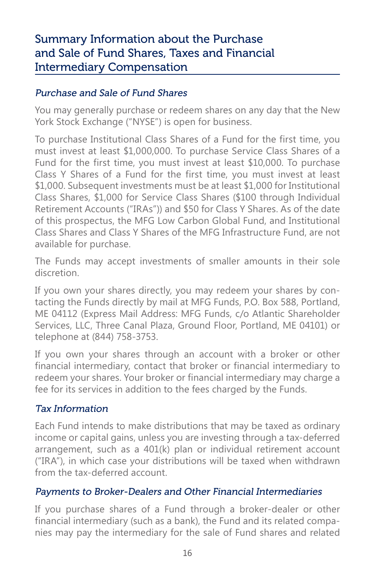# Summary Information about the Purchase and Sale of Fund Shares, Taxes and Financial Intermediary Compensation

#### Purchase and Sale of Fund Shares

You may generally purchase or redeem shares on any day that the New York Stock Exchange ("NYSE") is open for business.

To purchase Institutional Class Shares of a Fund for the first time, you must invest at least \$1,000,000. To purchase Service Class Shares of a Fund for the first time, you must invest at least \$10,000. To purchase Class Y Shares of a Fund for the first time, you must invest at least \$1,000. Subsequent investments must be at least \$1,000 for Institutional Class Shares, \$1,000 for Service Class Shares (\$100 through Individual Retirement Accounts ("IRAs")) and \$50 for Class Y Shares. As of the date of this prospectus, the MFG Low Carbon Global Fund, and Institutional Class Shares and Class Y Shares of the MFG Infrastructure Fund, are not available for purchase.

The Funds may accept investments of smaller amounts in their sole discretion.

If you own your shares directly, you may redeem your shares by contacting the Funds directly by mail at MFG Funds, P.O. Box 588, Portland, ME 04112 (Express Mail Address: MFG Funds, c/o Atlantic Shareholder Services, LLC, Three Canal Plaza, Ground Floor, Portland, ME 04101) or telephone at (844) 758-3753.

If you own your shares through an account with a broker or other financial intermediary, contact that broker or financial intermediary to redeem your shares. Your broker or financial intermediary may charge a fee for its services in addition to the fees charged by the Funds.

#### Tax Information

Each Fund intends to make distributions that may be taxed as ordinary income or capital gains, unless you are investing through a tax-deferred arrangement, such as a 401(k) plan or individual retirement account ("IRA"), in which case your distributions will be taxed when withdrawn from the tax-deferred account.

#### Payments to Broker-Dealers and Other Financial Intermediaries

If you purchase shares of a Fund through a broker-dealer or other financial intermediary (such as a bank), the Fund and its related companies may pay the intermediary for the sale of Fund shares and related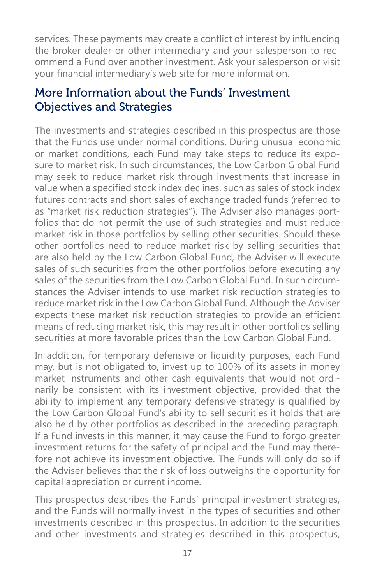services. These payments may create a conflict of interest by influencing the broker-dealer or other intermediary and your salesperson to recommend a Fund over another investment. Ask your salesperson or visit your financial intermediary's web site for more information.

# More Information about the Funds' Investment Objectives and Strategies

The investments and strategies described in this prospectus are those that the Funds use under normal conditions. During unusual economic or market conditions, each Fund may take steps to reduce its exposure to market risk. In such circumstances, the Low Carbon Global Fund may seek to reduce market risk through investments that increase in value when a specified stock index declines, such as sales of stock index futures contracts and short sales of exchange traded funds (referred to as "market risk reduction strategies"). The Adviser also manages portfolios that do not permit the use of such strategies and must reduce market risk in those portfolios by selling other securities. Should these other portfolios need to reduce market risk by selling securities that are also held by the Low Carbon Global Fund, the Adviser will execute sales of such securities from the other portfolios before executing any sales of the securities from the Low Carbon Global Fund. In such circumstances the Adviser intends to use market risk reduction strategies to reduce market risk in the Low Carbon Global Fund. Although the Adviser expects these market risk reduction strategies to provide an efficient means of reducing market risk, this may result in other portfolios selling securities at more favorable prices than the Low Carbon Global Fund.

In addition, for temporary defensive or liquidity purposes, each Fund may, but is not obligated to, invest up to 100% of its assets in money market instruments and other cash equivalents that would not ordinarily be consistent with its investment objective, provided that the ability to implement any temporary defensive strategy is qualified by the Low Carbon Global Fund's ability to sell securities it holds that are also held by other portfolios as described in the preceding paragraph. If a Fund invests in this manner, it may cause the Fund to forgo greater investment returns for the safety of principal and the Fund may therefore not achieve its investment objective. The Funds will only do so if the Adviser believes that the risk of loss outweighs the opportunity for capital appreciation or current income.

This prospectus describes the Funds' principal investment strategies, and the Funds will normally invest in the types of securities and other investments described in this prospectus. In addition to the securities and other investments and strategies described in this prospectus,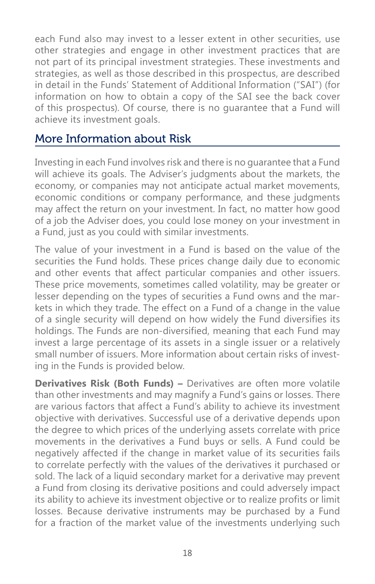each Fund also may invest to a lesser extent in other securities, use other strategies and engage in other investment practices that are not part of its principal investment strategies. These investments and strategies, as well as those described in this prospectus, are described in detail in the Funds' Statement of Additional Information ("SAI") (for information on how to obtain a copy of the SAI see the back cover of this prospectus). Of course, there is no guarantee that a Fund will achieve its investment goals.

### More Information about Risk

Investing in each Fund involves risk and there is no guarantee that a Fund will achieve its goals. The Adviser's judgments about the markets, the economy, or companies may not anticipate actual market movements, economic conditions or company performance, and these judgments may affect the return on your investment. In fact, no matter how good of a job the Adviser does, you could lose money on your investment in a Fund, just as you could with similar investments.

The value of your investment in a Fund is based on the value of the securities the Fund holds. These prices change daily due to economic and other events that affect particular companies and other issuers. These price movements, sometimes called volatility, may be greater or lesser depending on the types of securities a Fund owns and the markets in which they trade. The effect on a Fund of a change in the value of a single security will depend on how widely the Fund diversifies its holdings. The Funds are non-diversified, meaning that each Fund may invest a large percentage of its assets in a single issuer or a relatively small number of issuers. More information about certain risks of investing in the Funds is provided below.

**Derivatives Risk (Both Funds) –** Derivatives are often more volatile than other investments and may magnify a Fund's gains or losses. There are various factors that affect a Fund's ability to achieve its investment objective with derivatives. Successful use of a derivative depends upon the degree to which prices of the underlying assets correlate with price movements in the derivatives a Fund buys or sells. A Fund could be negatively affected if the change in market value of its securities fails to correlate perfectly with the values of the derivatives it purchased or sold. The lack of a liquid secondary market for a derivative may prevent a Fund from closing its derivative positions and could adversely impact its ability to achieve its investment objective or to realize profits or limit losses. Because derivative instruments may be purchased by a Fund for a fraction of the market value of the investments underlying such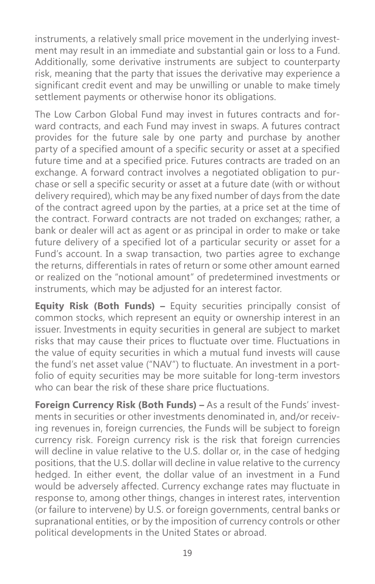instruments, a relatively small price movement in the underlying investment may result in an immediate and substantial gain or loss to a Fund. Additionally, some derivative instruments are subject to counterparty risk, meaning that the party that issues the derivative may experience a significant credit event and may be unwilling or unable to make timely settlement payments or otherwise honor its obligations.

The Low Carbon Global Fund may invest in futures contracts and forward contracts, and each Fund may invest in swaps. A futures contract provides for the future sale by one party and purchase by another party of a specified amount of a specific security or asset at a specified future time and at a specified price. Futures contracts are traded on an exchange. A forward contract involves a negotiated obligation to purchase or sell a specific security or asset at a future date (with or without delivery required), which may be any fixed number of days from the date of the contract agreed upon by the parties, at a price set at the time of the contract. Forward contracts are not traded on exchanges; rather, a bank or dealer will act as agent or as principal in order to make or take future delivery of a specified lot of a particular security or asset for a Fund's account. In a swap transaction, two parties agree to exchange the returns, differentials in rates of return or some other amount earned or realized on the "notional amount" of predetermined investments or instruments, which may be adjusted for an interest factor.

**Equity Risk (Both Funds) –** Equity securities principally consist of common stocks, which represent an equity or ownership interest in an issuer. Investments in equity securities in general are subject to market risks that may cause their prices to fluctuate over time. Fluctuations in the value of equity securities in which a mutual fund invests will cause the fund's net asset value ("NAV") to fluctuate. An investment in a portfolio of equity securities may be more suitable for long-term investors who can bear the risk of these share price fluctuations.

**Foreign Currency Risk (Both Funds) – As a result of the Funds' invest**ments in securities or other investments denominated in, and/or receiving revenues in, foreign currencies, the Funds will be subject to foreign currency risk. Foreign currency risk is the risk that foreign currencies will decline in value relative to the U.S. dollar or, in the case of hedging positions, that the U.S. dollar will decline in value relative to the currency hedged. In either event, the dollar value of an investment in a Fund would be adversely affected. Currency exchange rates may fluctuate in response to, among other things, changes in interest rates, intervention (or failure to intervene) by U.S. or foreign governments, central banks or supranational entities, or by the imposition of currency controls or other political developments in the United States or abroad.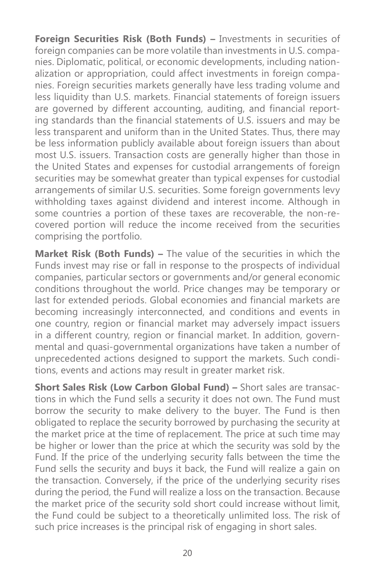**Foreign Securities Risk (Both Funds) –** Investments in securities of foreign companies can be more volatile than investments in U.S. companies. Diplomatic, political, or economic developments, including nationalization or appropriation, could affect investments in foreign companies. Foreign securities markets generally have less trading volume and less liquidity than U.S. markets. Financial statements of foreign issuers are governed by different accounting, auditing, and financial reporting standards than the financial statements of U.S. issuers and may be less transparent and uniform than in the United States. Thus, there may be less information publicly available about foreign issuers than about most U.S. issuers. Transaction costs are generally higher than those in the United States and expenses for custodial arrangements of foreign securities may be somewhat greater than typical expenses for custodial arrangements of similar U.S. securities. Some foreign governments levy withholding taxes against dividend and interest income. Although in some countries a portion of these taxes are recoverable, the non-recovered portion will reduce the income received from the securities comprising the portfolio.

**Market Risk (Both Funds) –** The value of the securities in which the Funds invest may rise or fall in response to the prospects of individual companies, particular sectors or governments and/or general economic conditions throughout the world. Price changes may be temporary or last for extended periods. Global economies and financial markets are becoming increasingly interconnected, and conditions and events in one country, region or financial market may adversely impact issuers in a different country, region or financial market. In addition, governmental and quasi-governmental organizations have taken a number of unprecedented actions designed to support the markets. Such conditions, events and actions may result in greater market risk.

**Short Sales Risk (Low Carbon Global Fund) –** Short sales are transactions in which the Fund sells a security it does not own. The Fund must borrow the security to make delivery to the buyer. The Fund is then obligated to replace the security borrowed by purchasing the security at the market price at the time of replacement. The price at such time may be higher or lower than the price at which the security was sold by the Fund. If the price of the underlying security falls between the time the Fund sells the security and buys it back, the Fund will realize a gain on the transaction. Conversely, if the price of the underlying security rises during the period, the Fund will realize a loss on the transaction. Because the market price of the security sold short could increase without limit, the Fund could be subject to a theoretically unlimited loss. The risk of such price increases is the principal risk of engaging in short sales.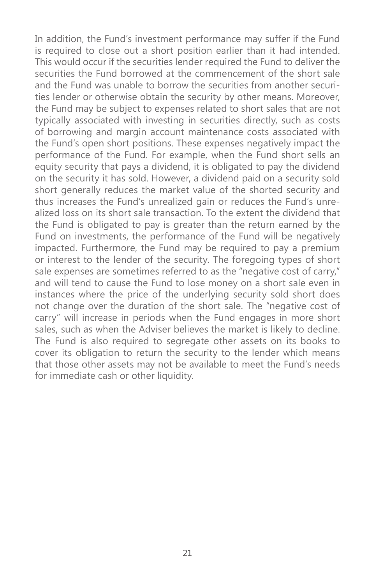In addition, the Fund's investment performance may suffer if the Fund is required to close out a short position earlier than it had intended. This would occur if the securities lender required the Fund to deliver the securities the Fund borrowed at the commencement of the short sale and the Fund was unable to borrow the securities from another securities lender or otherwise obtain the security by other means. Moreover, the Fund may be subject to expenses related to short sales that are not typically associated with investing in securities directly, such as costs of borrowing and margin account maintenance costs associated with the Fund's open short positions. These expenses negatively impact the performance of the Fund. For example, when the Fund short sells an equity security that pays a dividend, it is obligated to pay the dividend on the security it has sold. However, a dividend paid on a security sold short generally reduces the market value of the shorted security and thus increases the Fund's unrealized gain or reduces the Fund's unrealized loss on its short sale transaction. To the extent the dividend that the Fund is obligated to pay is greater than the return earned by the Fund on investments, the performance of the Fund will be negatively impacted. Furthermore, the Fund may be required to pay a premium or interest to the lender of the security. The foregoing types of short sale expenses are sometimes referred to as the "negative cost of carry," and will tend to cause the Fund to lose money on a short sale even in instances where the price of the underlying security sold short does not change over the duration of the short sale. The "negative cost of carry" will increase in periods when the Fund engages in more short sales, such as when the Adviser believes the market is likely to decline. The Fund is also required to segregate other assets on its books to cover its obligation to return the security to the lender which means that those other assets may not be available to meet the Fund's needs for immediate cash or other liquidity.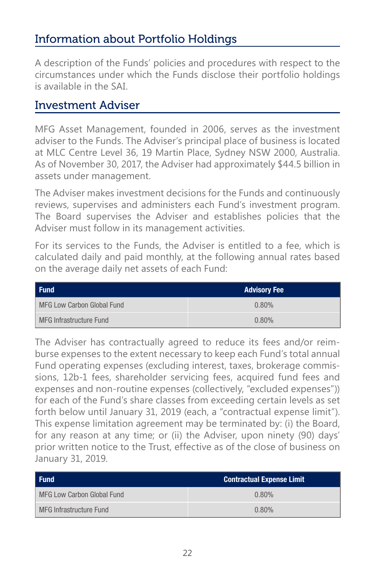# Information about Portfolio Holdings

A description of the Funds' policies and procedures with respect to the circumstances under which the Funds disclose their portfolio holdings is available in the SAI.

### Investment Adviser

MFG Asset Management, founded in 2006, serves as the investment adviser to the Funds. The Adviser's principal place of business is located at MLC Centre Level 36, 19 Martin Place, Sydney NSW 2000, Australia. As of November 30, 2017, the Adviser had approximately \$44.5 billion in assets under management.

The Adviser makes investment decisions for the Funds and continuously reviews, supervises and administers each Fund's investment program. The Board supervises the Adviser and establishes policies that the Adviser must follow in its management activities.

For its services to the Funds, the Adviser is entitled to a fee, which is calculated daily and paid monthly, at the following annual rates based on the average daily net assets of each Fund:

| Fund                       | <b>Advisory Fee</b> |
|----------------------------|---------------------|
| MFG Low Carbon Global Fund | 0.80%               |
| l MFG Infrastructure Fund  | 0.80%               |

The Adviser has contractually agreed to reduce its fees and/or reimburse expenses to the extent necessary to keep each Fund's total annual Fund operating expenses (excluding interest, taxes, brokerage commissions, 12b-1 fees, shareholder servicing fees, acquired fund fees and expenses and non-routine expenses (collectively, "excluded expenses")) for each of the Fund's share classes from exceeding certain levels as set forth below until January 31, 2019 (each, a "contractual expense limit"). This expense limitation agreement may be terminated by: (i) the Board, for any reason at any time; or (ii) the Adviser, upon ninety (90) days' prior written notice to the Trust, effective as of the close of business on January 31, 2019.

| Fund                       | <b>Contractual Expense Limit</b> |
|----------------------------|----------------------------------|
| MFG Low Carbon Global Fund | 0.80%                            |
| MFG Infrastructure Fund    | 0.80%                            |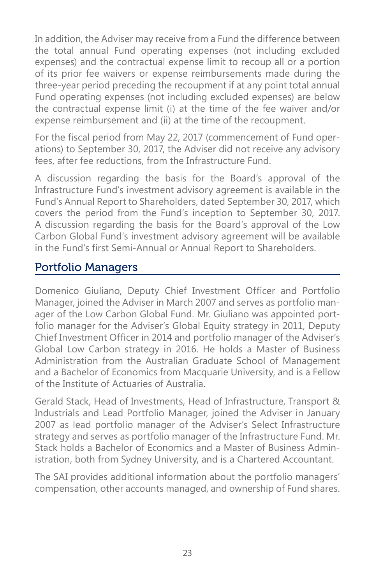In addition, the Adviser may receive from a Fund the difference between the total annual Fund operating expenses (not including excluded expenses) and the contractual expense limit to recoup all or a portion of its prior fee waivers or expense reimbursements made during the three-year period preceding the recoupment if at any point total annual Fund operating expenses (not including excluded expenses) are below the contractual expense limit (i) at the time of the fee waiver and/or expense reimbursement and (ii) at the time of the recoupment.

For the fiscal period from May 22, 2017 (commencement of Fund operations) to September 30, 2017, the Adviser did not receive any advisory fees, after fee reductions, from the Infrastructure Fund.

A discussion regarding the basis for the Board's approval of the Infrastructure Fund's investment advisory agreement is available in the Fund's Annual Report to Shareholders, dated September 30, 2017, which covers the period from the Fund's inception to September 30, 2017. A discussion regarding the basis for the Board's approval of the Low Carbon Global Fund's investment advisory agreement will be available in the Fund's first Semi-Annual or Annual Report to Shareholders.

# Portfolio Managers

Domenico Giuliano, Deputy Chief Investment Officer and Portfolio Manager, joined the Adviser in March 2007 and serves as portfolio manager of the Low Carbon Global Fund. Mr. Giuliano was appointed portfolio manager for the Adviser's Global Equity strategy in 2011, Deputy Chief Investment Officer in 2014 and portfolio manager of the Adviser's Global Low Carbon strategy in 2016. He holds a Master of Business Administration from the Australian Graduate School of Management and a Bachelor of Economics from Macquarie University, and is a Fellow of the Institute of Actuaries of Australia.

Gerald Stack, Head of Investments, Head of Infrastructure, Transport & Industrials and Lead Portfolio Manager, joined the Adviser in January 2007 as lead portfolio manager of the Adviser's Select Infrastructure strategy and serves as portfolio manager of the Infrastructure Fund. Mr. Stack holds a Bachelor of Economics and a Master of Business Administration, both from Sydney University, and is a Chartered Accountant.

The SAI provides additional information about the portfolio managers' compensation, other accounts managed, and ownership of Fund shares.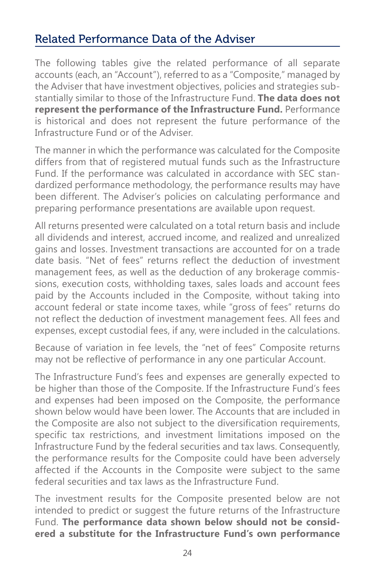# Related Performance Data of the Adviser

The following tables give the related performance of all separate accounts (each, an "Account"), referred to as a "Composite," managed by the Adviser that have investment objectives, policies and strategies substantially similar to those of the Infrastructure Fund. **The data does not represent the performance of the Infrastructure Fund.** Performance is historical and does not represent the future performance of the Infrastructure Fund or of the Adviser.

The manner in which the performance was calculated for the Composite differs from that of registered mutual funds such as the Infrastructure Fund. If the performance was calculated in accordance with SEC standardized performance methodology, the performance results may have been different. The Adviser's policies on calculating performance and preparing performance presentations are available upon request.

All returns presented were calculated on a total return basis and include all dividends and interest, accrued income, and realized and unrealized gains and losses. Investment transactions are accounted for on a trade date basis. "Net of fees" returns reflect the deduction of investment management fees, as well as the deduction of any brokerage commissions, execution costs, withholding taxes, sales loads and account fees paid by the Accounts included in the Composite, without taking into account federal or state income taxes, while "gross of fees" returns do not reflect the deduction of investment management fees. All fees and expenses, except custodial fees, if any, were included in the calculations.

Because of variation in fee levels, the "net of fees" Composite returns may not be reflective of performance in any one particular Account.

The Infrastructure Fund's fees and expenses are generally expected to be higher than those of the Composite. If the Infrastructure Fund's fees and expenses had been imposed on the Composite, the performance shown below would have been lower. The Accounts that are included in the Composite are also not subject to the diversification requirements, specific tax restrictions, and investment limitations imposed on the Infrastructure Fund by the federal securities and tax laws. Consequently, the performance results for the Composite could have been adversely affected if the Accounts in the Composite were subject to the same federal securities and tax laws as the Infrastructure Fund.

The investment results for the Composite presented below are not intended to predict or suggest the future returns of the Infrastructure Fund. **The performance data shown below should not be considered a substitute for the Infrastructure Fund's own performance**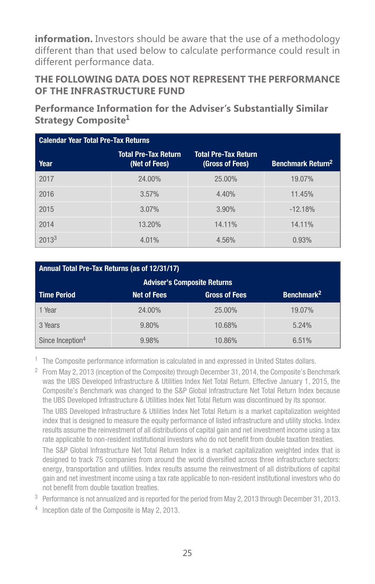**information.** Investors should be aware that the use of a methodology different than that used below to calculate performance could result in different performance data.

#### **THE FOLLOWING DATA DOES NOT REPRESENT THE PERFORMANCE OF THE INFRASTRUCTURE FUND**

**Performance Information for the Adviser's Substantially Similar Strategy Composite1**

| Calendar Year Total Pre-Tax Returns |                                       |                                                |                                     |  |
|-------------------------------------|---------------------------------------|------------------------------------------------|-------------------------------------|--|
| Year                                | Total Pre-Tax Return<br>(Net of Fees) | <b>Total Pre-Tax Return</b><br>(Gross of Fees) | <b>Benchmark Return<sup>2</sup></b> |  |
| 2017                                | 24.00%                                | 25.00%                                         | 19.07%                              |  |
| 2016                                | 3.57%                                 | 4.40%                                          | 11.45%                              |  |
| 2015                                | 3.07%                                 | 3.90%                                          | $-12.18%$                           |  |
| 2014                                | 13.20%                                | 14.11%                                         | 14.11%                              |  |
| $2013^3$                            | 4.01%                                 | 4.56%                                          | 0.93%                               |  |

#### Annual Total Pre-Tax Returns (as of 12/31/17)

| <b>Adviser's Composite Returns</b>                                                         |        |        |        |  |  |  |
|--------------------------------------------------------------------------------------------|--------|--------|--------|--|--|--|
| Benchmark <sup>2</sup><br><b>Time Period</b><br><b>Net of Fees</b><br><b>Gross of Fees</b> |        |        |        |  |  |  |
| Year                                                                                       | 24.00% | 25.00% | 19.07% |  |  |  |
| 3 Years                                                                                    | 9.80%  | 10.68% | 5.24%  |  |  |  |
| Since Inception <sup>4</sup>                                                               | 9.98%  | 10.86% | 6.51%  |  |  |  |

<sup>1</sup> The Composite performance information is calculated in and expressed in United States dollars.

 $2$  From May 2, 2013 (inception of the Composite) through December 31, 2014, the Composite's Benchmark was the UBS Developed Infrastructure & Utilities Index Net Total Return. Effective January 1, 2015, the Composite's Benchmark was changed to the S&P Global Infrastructure Net Total Return Index because the UBS Developed Infrastructure & Utilities Index Net Total Return was discontinued by its sponsor.

The UBS Developed Infrastructure & Utilities Index Net Total Return is a market capitalization weighted index that is designed to measure the equity performance of listed infrastructure and utility stocks. Index results assume the reinvestment of all distributions of capital gain and net investment income using a tax rate applicable to non-resident institutional investors who do not benefit from double taxation treaties.

The S&P Global Infrastructure Net Total Return Index is a market capitalization weighted index that is designed to track 75 companies from around the world diversified across three infrastructure sectors: energy, transportation and utilities. Index results assume the reinvestment of all distributions of capital gain and net investment income using a tax rate applicable to non-resident institutional investors who do not benefit from double taxation treaties.

- <sup>3</sup> Performance is not annualized and is reported for the period from May 2, 2013 through December 31, 2013.
- <sup>4</sup> Inception date of the Composite is May 2, 2013.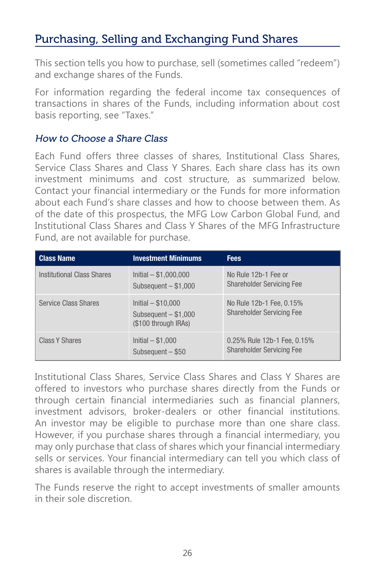# Purchasing, Selling and Exchanging Fund Shares

This section tells you how to purchase, sell (sometimes called "redeem") and exchange shares of the Funds.

For information regarding the federal income tax consequences of transactions in shares of the Funds, including information about cost basis reporting, see "Taxes."

#### How to Choose a Share Class

Each Fund offers three classes of shares, Institutional Class Shares, Service Class Shares and Class Y Shares. Each share class has its own investment minimums and cost structure, as summarized below. Contact your financial intermediary or the Funds for more information about each Fund's share classes and how to choose between them. As of the date of this prospectus, the MFG Low Carbon Global Fund, and Institutional Class Shares and Class Y Shares of the MFG Infrastructure Fund, are not available for purchase.

| <b>Class Name</b>           | <b>Investment Minimums</b>                                           | <b>Fees</b>                                                     |
|-----------------------------|----------------------------------------------------------------------|-----------------------------------------------------------------|
| Institutional Class Shares  | $Initial - $1,000,000$<br>Subsequent $- $1,000$                      | No Rule 12b-1 Fee or<br><b>Shareholder Servicing Fee</b>        |
| <b>Service Class Shares</b> | $Initial - $10,000$<br>Subsequent $- $1,000$<br>(\$100 through IRAs) | No Rule 12b-1 Fee, 0.15%<br><b>Shareholder Servicing Fee</b>    |
| Class Y Shares              | Initial $- $1,000$<br>Subsequent $-$ \$50                            | 0.25% Rule 12b-1 Fee, 0.15%<br><b>Shareholder Servicing Fee</b> |

Institutional Class Shares, Service Class Shares and Class Y Shares are offered to investors who purchase shares directly from the Funds or through certain financial intermediaries such as financial planners, investment advisors, broker-dealers or other financial institutions. An investor may be eligible to purchase more than one share class. However, if you purchase shares through a financial intermediary, you may only purchase that class of shares which your financial intermediary sells or services. Your financial intermediary can tell you which class of shares is available through the intermediary.

The Funds reserve the right to accept investments of smaller amounts in their sole discretion.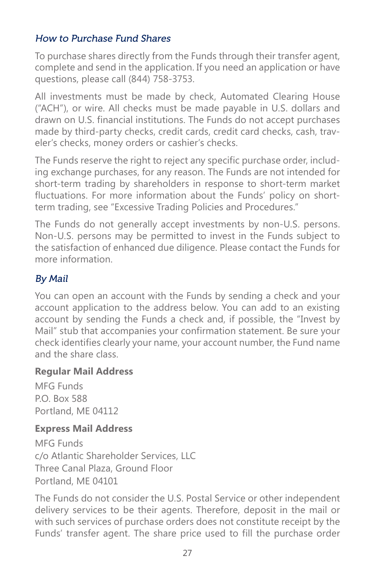#### How to Purchase Fund Shares

To purchase shares directly from the Funds through their transfer agent, complete and send in the application. If you need an application or have questions, please call (844) 758-3753.

All investments must be made by check, Automated Clearing House ("ACH"), or wire. All checks must be made payable in U.S. dollars and drawn on U.S. financial institutions. The Funds do not accept purchases made by third-party checks, credit cards, credit card checks, cash, traveler's checks, money orders or cashier's checks.

The Funds reserve the right to reject any specific purchase order, including exchange purchases, for any reason. The Funds are not intended for short-term trading by shareholders in response to short-term market fluctuations. For more information about the Funds' policy on shortterm trading, see "Excessive Trading Policies and Procedures."

The Funds do not generally accept investments by non-U.S. persons. Non-U.S. persons may be permitted to invest in the Funds subject to the satisfaction of enhanced due diligence. Please contact the Funds for more information.

#### By Mail

You can open an account with the Funds by sending a check and your account application to the address below. You can add to an existing account by sending the Funds a check and, if possible, the "Invest by Mail" stub that accompanies your confirmation statement. Be sure your check identifies clearly your name, your account number, the Fund name and the share class.

#### **Regular Mail Address**

MFG Funds P.O. Box 588 Portland, ME 04112

#### **Express Mail Address**

MFG Funds c/o Atlantic Shareholder Services, LLC Three Canal Plaza, Ground Floor Portland, ME 04101

The Funds do not consider the U.S. Postal Service or other independent delivery services to be their agents. Therefore, deposit in the mail or with such services of purchase orders does not constitute receipt by the Funds' transfer agent. The share price used to fill the purchase order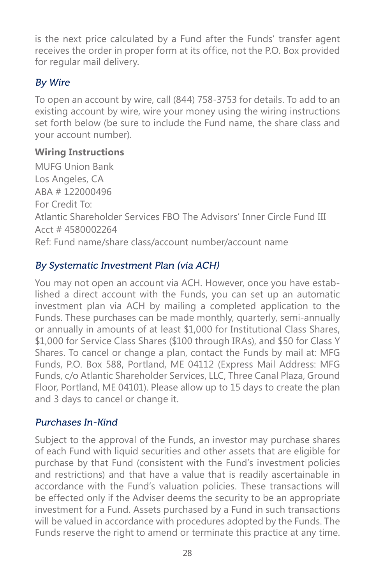is the next price calculated by a Fund after the Funds' transfer agent receives the order in proper form at its office, not the P.O. Box provided for regular mail delivery.

### By Wire

To open an account by wire, call (844) 758-3753 for details. To add to an existing account by wire, wire your money using the wiring instructions set forth below (be sure to include the Fund name, the share class and your account number).

### **Wiring Instructions**

MUFG Union Bank Los Angeles, CA ABA # 122000496 For Credit To: Atlantic Shareholder Services FBO The Advisors' Inner Circle Fund III Acct # 4580002264 Ref: Fund name/share class/account number/account name

### By Systematic Investment Plan (via ACH)

You may not open an account via ACH. However, once you have established a direct account with the Funds, you can set up an automatic investment plan via ACH by mailing a completed application to the Funds. These purchases can be made monthly, quarterly, semi-annually or annually in amounts of at least \$1,000 for Institutional Class Shares, \$1,000 for Service Class Shares (\$100 through IRAs), and \$50 for Class Y Shares. To cancel or change a plan, contact the Funds by mail at: MFG Funds, P.O. Box 588, Portland, ME 04112 (Express Mail Address: MFG Funds, c/o Atlantic Shareholder Services, LLC, Three Canal Plaza, Ground Floor, Portland, ME 04101). Please allow up to 15 days to create the plan and 3 days to cancel or change it.

### Purchases In-Kind

Subject to the approval of the Funds, an investor may purchase shares of each Fund with liquid securities and other assets that are eligible for purchase by that Fund (consistent with the Fund's investment policies and restrictions) and that have a value that is readily ascertainable in accordance with the Fund's valuation policies. These transactions will be effected only if the Adviser deems the security to be an appropriate investment for a Fund. Assets purchased by a Fund in such transactions will be valued in accordance with procedures adopted by the Funds. The Funds reserve the right to amend or terminate this practice at any time.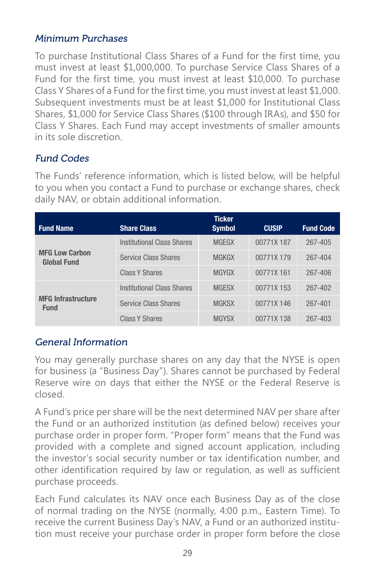### Minimum Purchases

To purchase Institutional Class Shares of a Fund for the first time, you must invest at least \$1,000,000. To purchase Service Class Shares of a Fund for the first time, you must invest at least \$10,000. To purchase Class Y Shares of a Fund for the first time, you must invest at least \$1,000. Subsequent investments must be at least \$1,000 for Institutional Class Shares, \$1,000 for Service Class Shares (\$100 through IRAs), and \$50 for Class Y Shares. Each Fund may accept investments of smaller amounts in its sole discretion.

### Fund Codes

The Funds' reference information, which is listed below, will be helpful to you when you contact a Fund to purchase or exchange shares, check daily NAV, or obtain additional information.

| <b>Fund Name</b>                            | <b>Share Class</b>          | <b>Ticker</b><br><b>Symbol</b> | <b>CUSIP</b> | <b>Fund Code</b> |
|---------------------------------------------|-----------------------------|--------------------------------|--------------|------------------|
|                                             | Institutional Class Shares  | <b>MGEGX</b>                   | 00771X 187   | 267-405          |
| <b>MFG Low Carbon</b><br><b>Global Fund</b> | <b>Service Class Shares</b> | <b>MGKGX</b>                   | 00771X 179   | 267-404          |
|                                             | Class Y Shares              | <b>MGYGX</b>                   | 00771X 161   | 267-406          |
|                                             | Institutional Class Shares  | <b>MGESX</b>                   | 00771X 153   | 267-402          |
| <b>MFG Infrastructure</b><br><b>Fund</b>    | <b>Service Class Shares</b> | <b>MGKSX</b>                   | 00771X 146   | 267-401          |
|                                             | Class Y Shares              | <b>MGYSX</b>                   | 00771X 138   | 267-403          |

### General Information

You may generally purchase shares on any day that the NYSE is open for business (a "Business Day"). Shares cannot be purchased by Federal Reserve wire on days that either the NYSE or the Federal Reserve is closed.

A Fund's price per share will be the next determined NAV per share after the Fund or an authorized institution (as defined below) receives your purchase order in proper form. "Proper form" means that the Fund was provided with a complete and signed account application, including the investor's social security number or tax identification number, and other identification required by law or regulation, as well as sufficient purchase proceeds.

Each Fund calculates its NAV once each Business Day as of the close of normal trading on the NYSE (normally, 4:00 p.m., Eastern Time). To receive the current Business Day's NAV, a Fund or an authorized institution must receive your purchase order in proper form before the close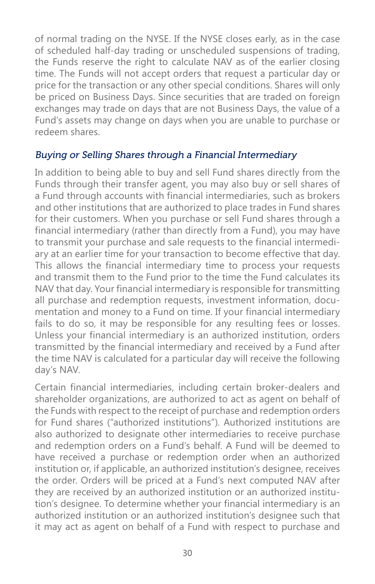of normal trading on the NYSE. If the NYSE closes early, as in the case of scheduled half-day trading or unscheduled suspensions of trading, the Funds reserve the right to calculate NAV as of the earlier closing time. The Funds will not accept orders that request a particular day or price for the transaction or any other special conditions. Shares will only be priced on Business Days. Since securities that are traded on foreign exchanges may trade on days that are not Business Days, the value of a Fund's assets may change on days when you are unable to purchase or redeem shares.

#### Buying or Selling Shares through a Financial Intermediary

In addition to being able to buy and sell Fund shares directly from the Funds through their transfer agent, you may also buy or sell shares of a Fund through accounts with financial intermediaries, such as brokers and other institutions that are authorized to place trades in Fund shares for their customers. When you purchase or sell Fund shares through a financial intermediary (rather than directly from a Fund), you may have to transmit your purchase and sale requests to the financial intermediary at an earlier time for your transaction to become effective that day. This allows the financial intermediary time to process your requests and transmit them to the Fund prior to the time the Fund calculates its NAV that day. Your financial intermediary is responsible for transmitting all purchase and redemption requests, investment information, documentation and money to a Fund on time. If your financial intermediary fails to do so, it may be responsible for any resulting fees or losses. Unless your financial intermediary is an authorized institution, orders transmitted by the financial intermediary and received by a Fund after the time NAV is calculated for a particular day will receive the following day's NAV.

Certain financial intermediaries, including certain broker-dealers and shareholder organizations, are authorized to act as agent on behalf of the Funds with respect to the receipt of purchase and redemption orders for Fund shares ("authorized institutions"). Authorized institutions are also authorized to designate other intermediaries to receive purchase and redemption orders on a Fund's behalf. A Fund will be deemed to have received a purchase or redemption order when an authorized institution or, if applicable, an authorized institution's designee, receives the order. Orders will be priced at a Fund's next computed NAV after they are received by an authorized institution or an authorized institution's designee. To determine whether your financial intermediary is an authorized institution or an authorized institution's designee such that it may act as agent on behalf of a Fund with respect to purchase and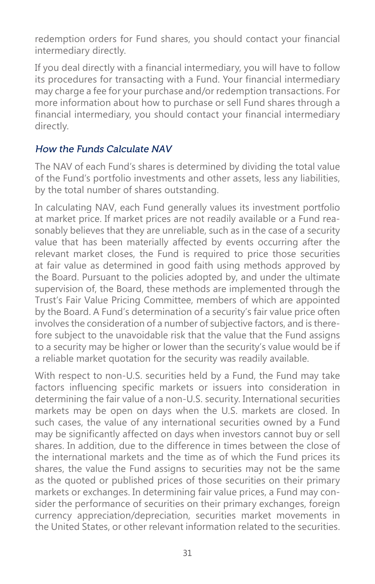redemption orders for Fund shares, you should contact your financial intermediary directly.

If you deal directly with a financial intermediary, you will have to follow its procedures for transacting with a Fund. Your financial intermediary may charge a fee for your purchase and/or redemption transactions. For more information about how to purchase or sell Fund shares through a financial intermediary, you should contact your financial intermediary directly.

#### How the Funds Calculate NAV

The NAV of each Fund's shares is determined by dividing the total value of the Fund's portfolio investments and other assets, less any liabilities, by the total number of shares outstanding.

In calculating NAV, each Fund generally values its investment portfolio at market price. If market prices are not readily available or a Fund reasonably believes that they are unreliable, such as in the case of a security value that has been materially affected by events occurring after the relevant market closes, the Fund is required to price those securities at fair value as determined in good faith using methods approved by the Board. Pursuant to the policies adopted by, and under the ultimate supervision of, the Board, these methods are implemented through the Trust's Fair Value Pricing Committee, members of which are appointed by the Board. A Fund's determination of a security's fair value price often involves the consideration of a number of subjective factors, and is therefore subject to the unavoidable risk that the value that the Fund assigns to a security may be higher or lower than the security's value would be if a reliable market quotation for the security was readily available.

With respect to non-U.S. securities held by a Fund, the Fund may take factors influencing specific markets or issuers into consideration in determining the fair value of a non-U.S. security. International securities markets may be open on days when the U.S. markets are closed. In such cases, the value of any international securities owned by a Fund may be significantly affected on days when investors cannot buy or sell shares. In addition, due to the difference in times between the close of the international markets and the time as of which the Fund prices its shares, the value the Fund assigns to securities may not be the same as the quoted or published prices of those securities on their primary markets or exchanges. In determining fair value prices, a Fund may consider the performance of securities on their primary exchanges, foreign currency appreciation/depreciation, securities market movements in the United States, or other relevant information related to the securities.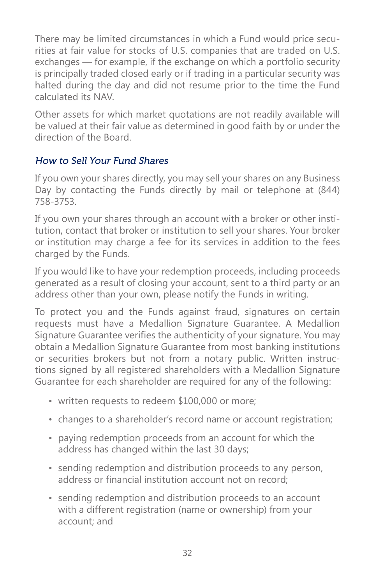There may be limited circumstances in which a Fund would price securities at fair value for stocks of U.S. companies that are traded on U.S. exchanges — for example, if the exchange on which a portfolio security is principally traded closed early or if trading in a particular security was halted during the day and did not resume prior to the time the Fund calculated its NAV.

Other assets for which market quotations are not readily available will be valued at their fair value as determined in good faith by or under the direction of the Board.

#### How to Sell Your Fund Shares

If you own your shares directly, you may sell your shares on any Business Day by contacting the Funds directly by mail or telephone at (844) 758-3753.

If you own your shares through an account with a broker or other institution, contact that broker or institution to sell your shares. Your broker or institution may charge a fee for its services in addition to the fees charged by the Funds.

If you would like to have your redemption proceeds, including proceeds generated as a result of closing your account, sent to a third party or an address other than your own, please notify the Funds in writing.

To protect you and the Funds against fraud, signatures on certain requests must have a Medallion Signature Guarantee. A Medallion Signature Guarantee verifies the authenticity of your signature. You may obtain a Medallion Signature Guarantee from most banking institutions or securities brokers but not from a notary public. Written instructions signed by all registered shareholders with a Medallion Signature Guarantee for each shareholder are required for any of the following:

- written requests to redeem \$100,000 or more;
- changes to a shareholder's record name or account registration;
- paying redemption proceeds from an account for which the address has changed within the last 30 days;
- sending redemption and distribution proceeds to any person, address or financial institution account not on record;
- sending redemption and distribution proceeds to an account with a different registration (name or ownership) from your account; and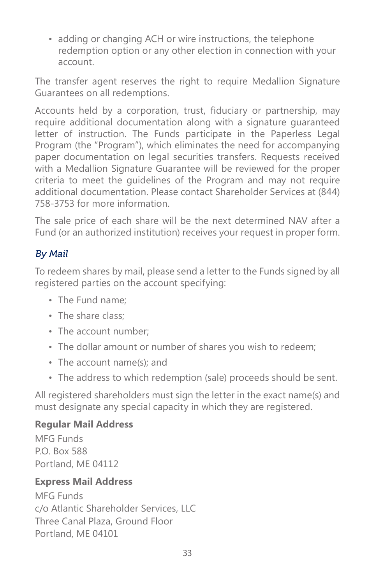• adding or changing ACH or wire instructions, the telephone redemption option or any other election in connection with your account.

The transfer agent reserves the right to require Medallion Signature Guarantees on all redemptions.

Accounts held by a corporation, trust, fiduciary or partnership, may require additional documentation along with a signature guaranteed letter of instruction. The Funds participate in the Paperless Legal Program (the "Program"), which eliminates the need for accompanying paper documentation on legal securities transfers. Requests received with a Medallion Signature Guarantee will be reviewed for the proper criteria to meet the guidelines of the Program and may not require additional documentation. Please contact Shareholder Services at (844) 758-3753 for more information.

The sale price of each share will be the next determined NAV after a Fund (or an authorized institution) receives your request in proper form.

#### By Mail

To redeem shares by mail, please send a letter to the Funds signed by all registered parties on the account specifying:

- The Fund name;
- The share class:
- The account number;
- The dollar amount or number of shares you wish to redeem;
- The account name(s); and
- The address to which redemption (sale) proceeds should be sent.

All registered shareholders must sign the letter in the exact name(s) and must designate any special capacity in which they are registered.

#### **Regular Mail Address**

MFG Funds P.O. Box 588 Portland, ME 04112

#### **Express Mail Address**

MFG Funds c/o Atlantic Shareholder Services, LLC Three Canal Plaza, Ground Floor Portland, ME 04101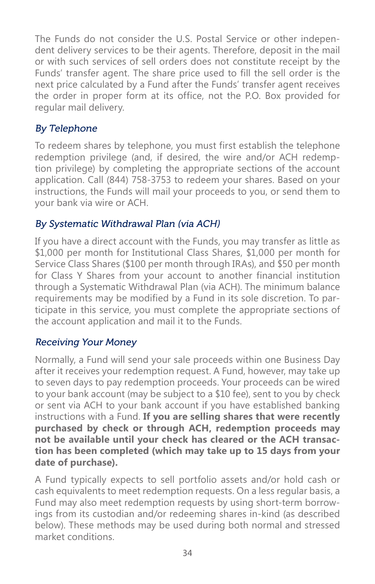The Funds do not consider the U.S. Postal Service or other independent delivery services to be their agents. Therefore, deposit in the mail or with such services of sell orders does not constitute receipt by the Funds' transfer agent. The share price used to fill the sell order is the next price calculated by a Fund after the Funds' transfer agent receives the order in proper form at its office, not the P.O. Box provided for regular mail delivery.

### By Telephone

To redeem shares by telephone, you must first establish the telephone redemption privilege (and, if desired, the wire and/or ACH redemption privilege) by completing the appropriate sections of the account application. Call (844) 758-3753 to redeem your shares. Based on your instructions, the Funds will mail your proceeds to you, or send them to your bank via wire or ACH.

#### By Systematic Withdrawal Plan (via ACH)

If you have a direct account with the Funds, you may transfer as little as \$1,000 per month for Institutional Class Shares, \$1,000 per month for Service Class Shares (\$100 per month through IRAs), and \$50 per month for Class Y Shares from your account to another financial institution through a Systematic Withdrawal Plan (via ACH). The minimum balance requirements may be modified by a Fund in its sole discretion. To participate in this service, you must complete the appropriate sections of the account application and mail it to the Funds.

### Receiving Your Money

Normally, a Fund will send your sale proceeds within one Business Day after it receives your redemption request. A Fund, however, may take up to seven days to pay redemption proceeds. Your proceeds can be wired to your bank account (may be subject to a \$10 fee), sent to you by check or sent via ACH to your bank account if you have established banking instructions with a Fund. **If you are selling shares that were recently purchased by check or through ACH, redemption proceeds may not be available until your check has cleared or the ACH transaction has been completed (which may take up to 15 days from your date of purchase).**

A Fund typically expects to sell portfolio assets and/or hold cash or cash equivalents to meet redemption requests. On a less regular basis, a Fund may also meet redemption requests by using short-term borrowings from its custodian and/or redeeming shares in-kind (as described below). These methods may be used during both normal and stressed market conditions.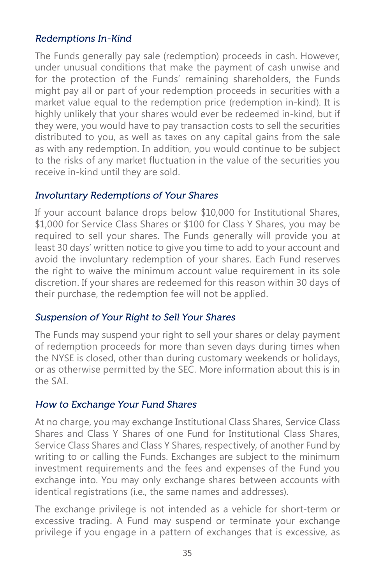#### Redemptions In-Kind

The Funds generally pay sale (redemption) proceeds in cash. However, under unusual conditions that make the payment of cash unwise and for the protection of the Funds' remaining shareholders, the Funds might pay all or part of your redemption proceeds in securities with a market value equal to the redemption price (redemption in-kind). It is highly unlikely that your shares would ever be redeemed in-kind, but if they were, you would have to pay transaction costs to sell the securities distributed to you, as well as taxes on any capital gains from the sale as with any redemption. In addition, you would continue to be subject to the risks of any market fluctuation in the value of the securities you receive in-kind until they are sold.

#### Involuntary Redemptions of Your Shares

If your account balance drops below \$10,000 for Institutional Shares, \$1,000 for Service Class Shares or \$100 for Class Y Shares, you may be required to sell your shares. The Funds generally will provide you at least 30 days' written notice to give you time to add to your account and avoid the involuntary redemption of your shares. Each Fund reserves the right to waive the minimum account value requirement in its sole discretion. If your shares are redeemed for this reason within 30 days of their purchase, the redemption fee will not be applied.

#### Suspension of Your Right to Sell Your Shares

The Funds may suspend your right to sell your shares or delay payment of redemption proceeds for more than seven days during times when the NYSE is closed, other than during customary weekends or holidays, or as otherwise permitted by the SEC. More information about this is in the SAI.

#### How to Exchange Your Fund Shares

At no charge, you may exchange Institutional Class Shares, Service Class Shares and Class Y Shares of one Fund for Institutional Class Shares, Service Class Shares and Class Y Shares, respectively, of another Fund by writing to or calling the Funds. Exchanges are subject to the minimum investment requirements and the fees and expenses of the Fund you exchange into. You may only exchange shares between accounts with identical registrations (i.e., the same names and addresses).

The exchange privilege is not intended as a vehicle for short-term or excessive trading. A Fund may suspend or terminate your exchange privilege if you engage in a pattern of exchanges that is excessive, as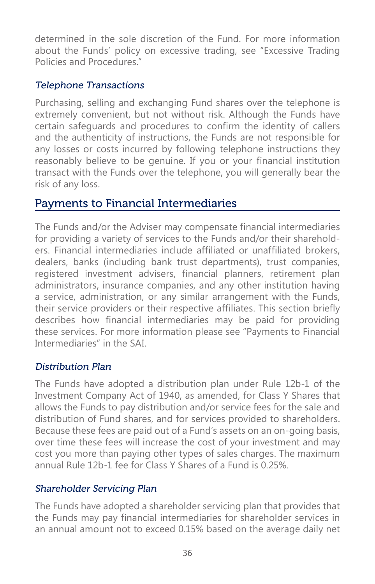determined in the sole discretion of the Fund. For more information about the Funds' policy on excessive trading, see "Excessive Trading Policies and Procedures."

### Telephone Transactions

Purchasing, selling and exchanging Fund shares over the telephone is extremely convenient, but not without risk. Although the Funds have certain safeguards and procedures to confirm the identity of callers and the authenticity of instructions, the Funds are not responsible for any losses or costs incurred by following telephone instructions they reasonably believe to be genuine. If you or your financial institution transact with the Funds over the telephone, you will generally bear the risk of any loss.

# Payments to Financial Intermediaries

The Funds and/or the Adviser may compensate financial intermediaries for providing a variety of services to the Funds and/or their shareholders. Financial intermediaries include affiliated or unaffiliated brokers, dealers, banks (including bank trust departments), trust companies, registered investment advisers, financial planners, retirement plan administrators, insurance companies, and any other institution having a service, administration, or any similar arrangement with the Funds, their service providers or their respective affiliates. This section briefly describes how financial intermediaries may be paid for providing these services. For more information please see "Payments to Financial Intermediaries" in the SAI.

### Distribution Plan

The Funds have adopted a distribution plan under Rule 12b-1 of the Investment Company Act of 1940, as amended, for Class Y Shares that allows the Funds to pay distribution and/or service fees for the sale and distribution of Fund shares, and for services provided to shareholders. Because these fees are paid out of a Fund's assets on an on-going basis, over time these fees will increase the cost of your investment and may cost you more than paying other types of sales charges. The maximum annual Rule 12b-1 fee for Class Y Shares of a Fund is 0.25%.

### Shareholder Servicing Plan

The Funds have adopted a shareholder servicing plan that provides that the Funds may pay financial intermediaries for shareholder services in an annual amount not to exceed 0.15% based on the average daily net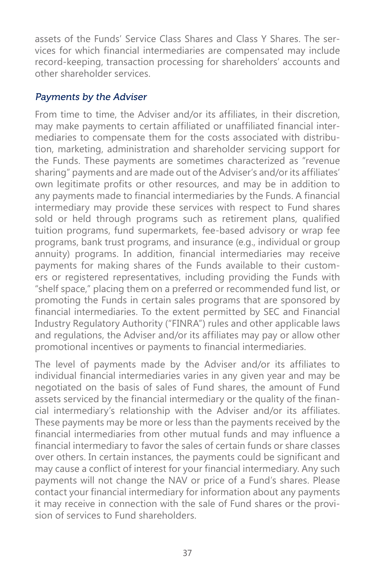assets of the Funds' Service Class Shares and Class Y Shares. The services for which financial intermediaries are compensated may include record-keeping, transaction processing for shareholders' accounts and other shareholder services.

#### Payments by the Adviser

From time to time, the Adviser and/or its affiliates, in their discretion, may make payments to certain affiliated or unaffiliated financial intermediaries to compensate them for the costs associated with distribution, marketing, administration and shareholder servicing support for the Funds. These payments are sometimes characterized as "revenue sharing" payments and are made out of the Adviser's and/or its affiliates' own legitimate profits or other resources, and may be in addition to any payments made to financial intermediaries by the Funds. A financial intermediary may provide these services with respect to Fund shares sold or held through programs such as retirement plans, qualified tuition programs, fund supermarkets, fee-based advisory or wrap fee programs, bank trust programs, and insurance (e.g., individual or group annuity) programs. In addition, financial intermediaries may receive payments for making shares of the Funds available to their customers or registered representatives, including providing the Funds with "shelf space," placing them on a preferred or recommended fund list, or promoting the Funds in certain sales programs that are sponsored by financial intermediaries. To the extent permitted by SEC and Financial Industry Regulatory Authority ("FINRA") rules and other applicable laws and regulations, the Adviser and/or its affiliates may pay or allow other promotional incentives or payments to financial intermediaries.

The level of payments made by the Adviser and/or its affiliates to individual financial intermediaries varies in any given year and may be negotiated on the basis of sales of Fund shares, the amount of Fund assets serviced by the financial intermediary or the quality of the financial intermediary's relationship with the Adviser and/or its affiliates. These payments may be more or less than the payments received by the financial intermediaries from other mutual funds and may influence a financial intermediary to favor the sales of certain funds or share classes over others. In certain instances, the payments could be significant and may cause a conflict of interest for your financial intermediary. Any such payments will not change the NAV or price of a Fund's shares. Please contact your financial intermediary for information about any payments it may receive in connection with the sale of Fund shares or the provision of services to Fund shareholders.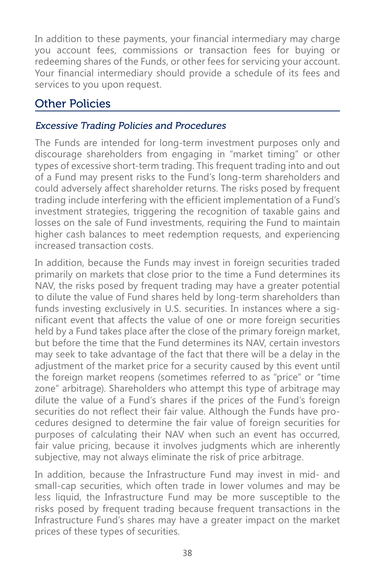In addition to these payments, your financial intermediary may charge you account fees, commissions or transaction fees for buying or redeeming shares of the Funds, or other fees for servicing your account. Your financial intermediary should provide a schedule of its fees and services to you upon request.

# Other Policies

#### Excessive Trading Policies and Procedures

The Funds are intended for long-term investment purposes only and discourage shareholders from engaging in "market timing" or other types of excessive short-term trading. This frequent trading into and out of a Fund may present risks to the Fund's long-term shareholders and could adversely affect shareholder returns. The risks posed by frequent trading include interfering with the efficient implementation of a Fund's investment strategies, triggering the recognition of taxable gains and losses on the sale of Fund investments, requiring the Fund to maintain higher cash balances to meet redemption requests, and experiencing increased transaction costs.

In addition, because the Funds may invest in foreign securities traded primarily on markets that close prior to the time a Fund determines its NAV, the risks posed by frequent trading may have a greater potential to dilute the value of Fund shares held by long-term shareholders than funds investing exclusively in U.S. securities. In instances where a significant event that affects the value of one or more foreign securities held by a Fund takes place after the close of the primary foreign market, but before the time that the Fund determines its NAV, certain investors may seek to take advantage of the fact that there will be a delay in the adjustment of the market price for a security caused by this event until the foreign market reopens (sometimes referred to as "price" or "time zone" arbitrage). Shareholders who attempt this type of arbitrage may dilute the value of a Fund's shares if the prices of the Fund's foreign securities do not reflect their fair value. Although the Funds have procedures designed to determine the fair value of foreign securities for purposes of calculating their NAV when such an event has occurred, fair value pricing, because it involves judgments which are inherently subjective, may not always eliminate the risk of price arbitrage.

In addition, because the Infrastructure Fund may invest in mid- and small-cap securities, which often trade in lower volumes and may be less liquid, the Infrastructure Fund may be more susceptible to the risks posed by frequent trading because frequent transactions in the Infrastructure Fund's shares may have a greater impact on the market prices of these types of securities.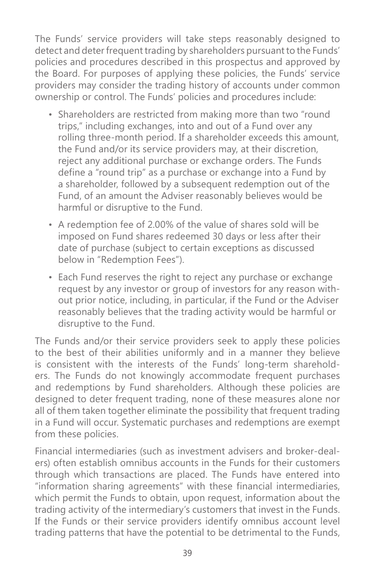The Funds' service providers will take steps reasonably designed to detect and deter frequent trading by shareholders pursuant to the Funds' policies and procedures described in this prospectus and approved by the Board. For purposes of applying these policies, the Funds' service providers may consider the trading history of accounts under common ownership or control. The Funds' policies and procedures include:

- Shareholders are restricted from making more than two "round trips," including exchanges, into and out of a Fund over any rolling three-month period. If a shareholder exceeds this amount, the Fund and/or its service providers may, at their discretion, reject any additional purchase or exchange orders. The Funds define a "round trip" as a purchase or exchange into a Fund by a shareholder, followed by a subsequent redemption out of the Fund, of an amount the Adviser reasonably believes would be harmful or disruptive to the Fund.
- A redemption fee of 2.00% of the value of shares sold will be imposed on Fund shares redeemed 30 days or less after their date of purchase (subject to certain exceptions as discussed below in "Redemption Fees").
- Each Fund reserves the right to reject any purchase or exchange request by any investor or group of investors for any reason without prior notice, including, in particular, if the Fund or the Adviser reasonably believes that the trading activity would be harmful or disruptive to the Fund.

The Funds and/or their service providers seek to apply these policies to the best of their abilities uniformly and in a manner they believe is consistent with the interests of the Funds' long-term shareholders. The Funds do not knowingly accommodate frequent purchases and redemptions by Fund shareholders. Although these policies are designed to deter frequent trading, none of these measures alone nor all of them taken together eliminate the possibility that frequent trading in a Fund will occur. Systematic purchases and redemptions are exempt from these policies.

Financial intermediaries (such as investment advisers and broker-dealers) often establish omnibus accounts in the Funds for their customers through which transactions are placed. The Funds have entered into "information sharing agreements" with these financial intermediaries, which permit the Funds to obtain, upon request, information about the trading activity of the intermediary's customers that invest in the Funds. If the Funds or their service providers identify omnibus account level trading patterns that have the potential to be detrimental to the Funds,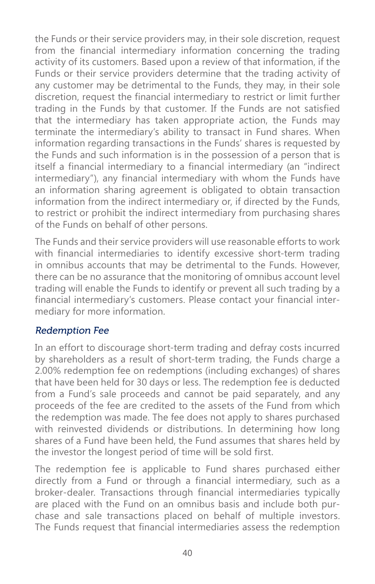the Funds or their service providers may, in their sole discretion, request from the financial intermediary information concerning the trading activity of its customers. Based upon a review of that information, if the Funds or their service providers determine that the trading activity of any customer may be detrimental to the Funds, they may, in their sole discretion, request the financial intermediary to restrict or limit further trading in the Funds by that customer. If the Funds are not satisfied that the intermediary has taken appropriate action, the Funds may terminate the intermediary's ability to transact in Fund shares. When information regarding transactions in the Funds' shares is requested by the Funds and such information is in the possession of a person that is itself a financial intermediary to a financial intermediary (an "indirect intermediary"), any financial intermediary with whom the Funds have an information sharing agreement is obligated to obtain transaction information from the indirect intermediary or, if directed by the Funds, to restrict or prohibit the indirect intermediary from purchasing shares of the Funds on behalf of other persons.

The Funds and their service providers will use reasonable efforts to work with financial intermediaries to identify excessive short-term trading in omnibus accounts that may be detrimental to the Funds. However, there can be no assurance that the monitoring of omnibus account level trading will enable the Funds to identify or prevent all such trading by a financial intermediary's customers. Please contact your financial intermediary for more information.

#### Redemption Fee

In an effort to discourage short-term trading and defray costs incurred by shareholders as a result of short-term trading, the Funds charge a 2.00% redemption fee on redemptions (including exchanges) of shares that have been held for 30 days or less. The redemption fee is deducted from a Fund's sale proceeds and cannot be paid separately, and any proceeds of the fee are credited to the assets of the Fund from which the redemption was made. The fee does not apply to shares purchased with reinvested dividends or distributions. In determining how long shares of a Fund have been held, the Fund assumes that shares held by the investor the longest period of time will be sold first.

The redemption fee is applicable to Fund shares purchased either directly from a Fund or through a financial intermediary, such as a broker-dealer. Transactions through financial intermediaries typically are placed with the Fund on an omnibus basis and include both purchase and sale transactions placed on behalf of multiple investors. The Funds request that financial intermediaries assess the redemption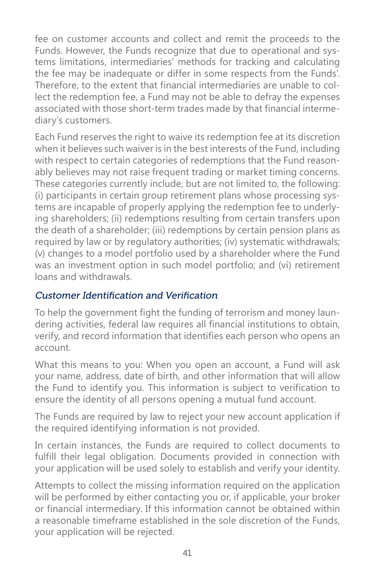fee on customer accounts and collect and remit the proceeds to the Funds. However, the Funds recognize that due to operational and systems limitations, intermediaries' methods for tracking and calculating the fee may be inadequate or differ in some respects from the Funds'. Therefore, to the extent that financial intermediaries are unable to collect the redemption fee, a Fund may not be able to defray the expenses associated with those short-term trades made by that financial intermediary's customers.

Each Fund reserves the right to waive its redemption fee at its discretion when it believes such waiver is in the best interests of the Fund, including with respect to certain categories of redemptions that the Fund reasonably believes may not raise frequent trading or market timing concerns. These categories currently include, but are not limited to, the following: (i) participants in certain group retirement plans whose processing systems are incapable of properly applying the redemption fee to underlying shareholders; (ii) redemptions resulting from certain transfers upon the death of a shareholder; (iii) redemptions by certain pension plans as required by law or by regulatory authorities; (iv) systematic withdrawals; (v) changes to a model portfolio used by a shareholder where the Fund was an investment option in such model portfolio; and (vi) retirement loans and withdrawals.

#### Customer Identification and Verification

To help the government fight the funding of terrorism and money laundering activities, federal law requires all financial institutions to obtain, verify, and record information that identifies each person who opens an account.

What this means to you: When you open an account, a Fund will ask your name, address, date of birth, and other information that will allow the Fund to identify you. This information is subject to verification to ensure the identity of all persons opening a mutual fund account.

The Funds are required by law to reject your new account application if the required identifying information is not provided.

In certain instances, the Funds are required to collect documents to fulfill their legal obligation. Documents provided in connection with your application will be used solely to establish and verify your identity.

Attempts to collect the missing information required on the application will be performed by either contacting you or, if applicable, your broker or financial intermediary. If this information cannot be obtained within a reasonable timeframe established in the sole discretion of the Funds, your application will be rejected.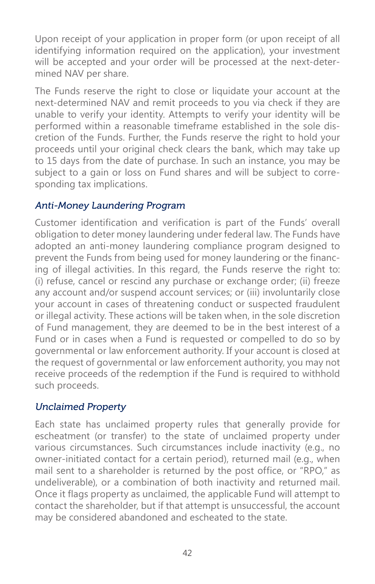Upon receipt of your application in proper form (or upon receipt of all identifying information required on the application), your investment will be accepted and your order will be processed at the next-determined NAV per share.

The Funds reserve the right to close or liquidate your account at the next-determined NAV and remit proceeds to you via check if they are unable to verify your identity. Attempts to verify your identity will be performed within a reasonable timeframe established in the sole discretion of the Funds. Further, the Funds reserve the right to hold your proceeds until your original check clears the bank, which may take up to 15 days from the date of purchase. In such an instance, you may be subject to a gain or loss on Fund shares and will be subject to corresponding tax implications.

#### Anti-Money Laundering Program

Customer identification and verification is part of the Funds' overall obligation to deter money laundering under federal law. The Funds have adopted an anti-money laundering compliance program designed to prevent the Funds from being used for money laundering or the financing of illegal activities. In this regard, the Funds reserve the right to: (i) refuse, cancel or rescind any purchase or exchange order; (ii) freeze any account and/or suspend account services; or (iii) involuntarily close your account in cases of threatening conduct or suspected fraudulent or illegal activity. These actions will be taken when, in the sole discretion of Fund management, they are deemed to be in the best interest of a Fund or in cases when a Fund is requested or compelled to do so by governmental or law enforcement authority. If your account is closed at the request of governmental or law enforcement authority, you may not receive proceeds of the redemption if the Fund is required to withhold such proceeds.

### Unclaimed Property

Each state has unclaimed property rules that generally provide for escheatment (or transfer) to the state of unclaimed property under various circumstances. Such circumstances include inactivity (e.g., no owner-initiated contact for a certain period), returned mail (e.g., when mail sent to a shareholder is returned by the post office, or "RPO," as undeliverable), or a combination of both inactivity and returned mail. Once it flags property as unclaimed, the applicable Fund will attempt to contact the shareholder, but if that attempt is unsuccessful, the account may be considered abandoned and escheated to the state.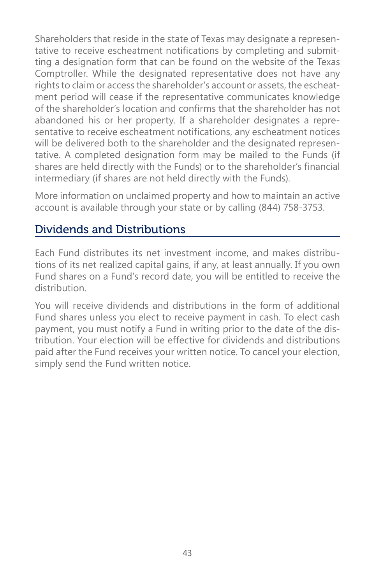Shareholders that reside in the state of Texas may designate a representative to receive escheatment notifications by completing and submitting a designation form that can be found on the website of the Texas Comptroller. While the designated representative does not have any rights to claim or access the shareholder's account or assets, the escheatment period will cease if the representative communicates knowledge of the shareholder's location and confirms that the shareholder has not abandoned his or her property. If a shareholder designates a representative to receive escheatment notifications, any escheatment notices will be delivered both to the shareholder and the designated representative. A completed designation form may be mailed to the Funds (if shares are held directly with the Funds) or to the shareholder's financial intermediary (if shares are not held directly with the Funds).

More information on unclaimed property and how to maintain an active account is available through your state or by calling (844) 758-3753.

# Dividends and Distributions

Each Fund distributes its net investment income, and makes distributions of its net realized capital gains, if any, at least annually. If you own Fund shares on a Fund's record date, you will be entitled to receive the distribution.

You will receive dividends and distributions in the form of additional Fund shares unless you elect to receive payment in cash. To elect cash payment, you must notify a Fund in writing prior to the date of the distribution. Your election will be effective for dividends and distributions paid after the Fund receives your written notice. To cancel your election, simply send the Fund written notice.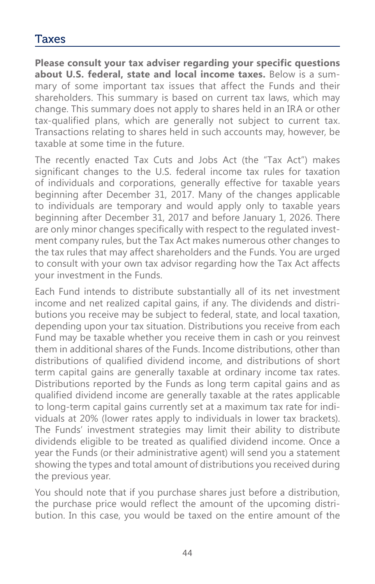### Taxes

**Please consult your tax adviser regarding your specific questions about U.S. federal, state and local income taxes.** Below is a summary of some important tax issues that affect the Funds and their shareholders. This summary is based on current tax laws, which may change. This summary does not apply to shares held in an IRA or other tax-qualified plans, which are generally not subject to current tax. Transactions relating to shares held in such accounts may, however, be taxable at some time in the future.

The recently enacted Tax Cuts and Jobs Act (the "Tax Act") makes significant changes to the U.S. federal income tax rules for taxation of individuals and corporations, generally effective for taxable years beginning after December 31, 2017. Many of the changes applicable to individuals are temporary and would apply only to taxable years beginning after December 31, 2017 and before January 1, 2026. There are only minor changes specifically with respect to the regulated investment company rules, but the Tax Act makes numerous other changes to the tax rules that may affect shareholders and the Funds. You are urged to consult with your own tax advisor regarding how the Tax Act affects your investment in the Funds.

Each Fund intends to distribute substantially all of its net investment income and net realized capital gains, if any. The dividends and distributions you receive may be subject to federal, state, and local taxation, depending upon your tax situation. Distributions you receive from each Fund may be taxable whether you receive them in cash or you reinvest them in additional shares of the Funds. Income distributions, other than distributions of qualified dividend income, and distributions of short term capital gains are generally taxable at ordinary income tax rates. Distributions reported by the Funds as long term capital gains and as qualified dividend income are generally taxable at the rates applicable to long-term capital gains currently set at a maximum tax rate for individuals at 20% (lower rates apply to individuals in lower tax brackets). The Funds' investment strategies may limit their ability to distribute dividends eligible to be treated as qualified dividend income. Once a year the Funds (or their administrative agent) will send you a statement showing the types and total amount of distributions you received during the previous year.

You should note that if you purchase shares just before a distribution, the purchase price would reflect the amount of the upcoming distribution. In this case, you would be taxed on the entire amount of the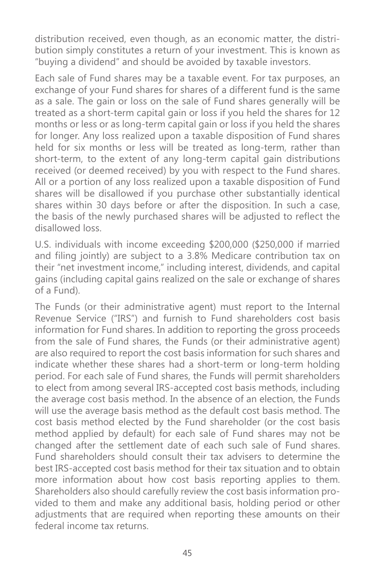distribution received, even though, as an economic matter, the distribution simply constitutes a return of your investment. This is known as "buying a dividend" and should be avoided by taxable investors.

Each sale of Fund shares may be a taxable event. For tax purposes, an exchange of your Fund shares for shares of a different fund is the same as a sale. The gain or loss on the sale of Fund shares generally will be treated as a short-term capital gain or loss if you held the shares for 12 months or less or as long-term capital gain or loss if you held the shares for longer. Any loss realized upon a taxable disposition of Fund shares held for six months or less will be treated as long-term, rather than short-term, to the extent of any long-term capital gain distributions received (or deemed received) by you with respect to the Fund shares. All or a portion of any loss realized upon a taxable disposition of Fund shares will be disallowed if you purchase other substantially identical shares within 30 days before or after the disposition. In such a case, the basis of the newly purchased shares will be adjusted to reflect the disallowed loss.

U.S. individuals with income exceeding \$200,000 (\$250,000 if married and filing jointly) are subject to a 3.8% Medicare contribution tax on their "net investment income," including interest, dividends, and capital gains (including capital gains realized on the sale or exchange of shares of a Fund).

The Funds (or their administrative agent) must report to the Internal Revenue Service ("IRS") and furnish to Fund shareholders cost basis information for Fund shares. In addition to reporting the gross proceeds from the sale of Fund shares, the Funds (or their administrative agent) are also required to report the cost basis information for such shares and indicate whether these shares had a short-term or long-term holding period. For each sale of Fund shares, the Funds will permit shareholders to elect from among several IRS-accepted cost basis methods, including the average cost basis method. In the absence of an election, the Funds will use the average basis method as the default cost basis method. The cost basis method elected by the Fund shareholder (or the cost basis method applied by default) for each sale of Fund shares may not be changed after the settlement date of each such sale of Fund shares. Fund shareholders should consult their tax advisers to determine the best IRS-accepted cost basis method for their tax situation and to obtain more information about how cost basis reporting applies to them. Shareholders also should carefully review the cost basis information provided to them and make any additional basis, holding period or other adjustments that are required when reporting these amounts on their federal income tax returns.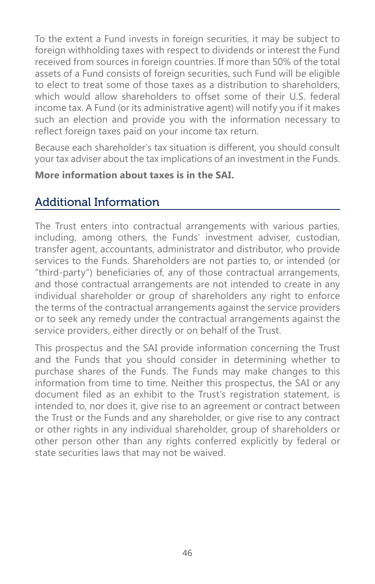To the extent a Fund invests in foreign securities, it may be subject to foreign withholding taxes with respect to dividends or interest the Fund received from sources in foreign countries. If more than 50% of the total assets of a Fund consists of foreign securities, such Fund will be eligible to elect to treat some of those taxes as a distribution to shareholders, which would allow shareholders to offset some of their U.S. federal income tax. A Fund (or its administrative agent) will notify you if it makes such an election and provide you with the information necessary to reflect foreign taxes paid on your income tax return.

Because each shareholder's tax situation is different, you should consult your tax adviser about the tax implications of an investment in the Funds.

#### **More information about taxes is in the SAI.**

# Additional Information

The Trust enters into contractual arrangements with various parties, including, among others, the Funds' investment adviser, custodian, transfer agent, accountants, administrator and distributor, who provide services to the Funds. Shareholders are not parties to, or intended (or "third-party") beneficiaries of, any of those contractual arrangements, and those contractual arrangements are not intended to create in any individual shareholder or group of shareholders any right to enforce the terms of the contractual arrangements against the service providers or to seek any remedy under the contractual arrangements against the service providers, either directly or on behalf of the Trust.

This prospectus and the SAI provide information concerning the Trust and the Funds that you should consider in determining whether to purchase shares of the Funds. The Funds may make changes to this information from time to time. Neither this prospectus, the SAI or any document filed as an exhibit to the Trust's registration statement, is intended to, nor does it, give rise to an agreement or contract between the Trust or the Funds and any shareholder, or give rise to any contract or other rights in any individual shareholder, group of shareholders or other person other than any rights conferred explicitly by federal or state securities laws that may not be waived.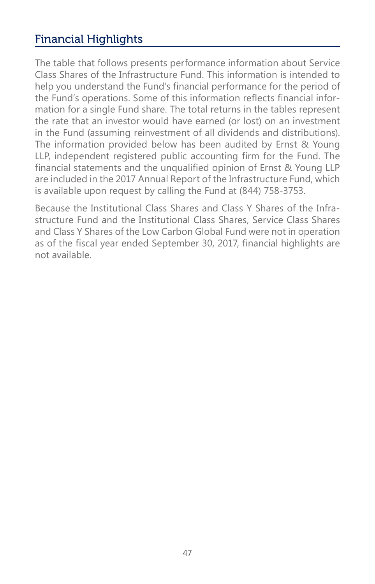# Financial Highlights

The table that follows presents performance information about Service Class Shares of the Infrastructure Fund. This information is intended to help you understand the Fund's financial performance for the period of the Fund's operations. Some of this information reflects financial information for a single Fund share. The total returns in the tables represent the rate that an investor would have earned (or lost) on an investment in the Fund (assuming reinvestment of all dividends and distributions). The information provided below has been audited by Ernst & Young LLP, independent registered public accounting firm for the Fund. The financial statements and the unqualified opinion of Ernst & Young LLP are included in the 2017 Annual Report of the Infrastructure Fund, which is available upon request by calling the Fund at (844) 758-3753.

Because the Institutional Class Shares and Class Y Shares of the Infrastructure Fund and the Institutional Class Shares, Service Class Shares and Class Y Shares of the Low Carbon Global Fund were not in operation as of the fiscal year ended September 30, 2017, financial highlights are not available.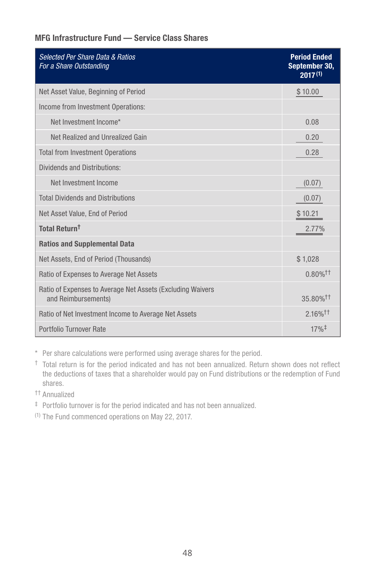#### MFG Infrastructure Fund — Service Class Shares

| <b>Selected Per Share Data &amp; Ratios</b><br>For a Share Outstanding            | <b>Period Ended</b><br>September 30,<br>$2017^{(1)}$ |
|-----------------------------------------------------------------------------------|------------------------------------------------------|
| Net Asset Value, Beginning of Period                                              | \$10.00                                              |
| Income from Investment Operations:                                                |                                                      |
| Net Investment Income*                                                            | 0.08                                                 |
| Net Realized and Unrealized Gain                                                  | 0.20                                                 |
| <b>Total from Investment Operations</b>                                           | 0.28                                                 |
| <b>Dividends and Distributions:</b>                                               |                                                      |
| Net Investment Income                                                             | (0.07)                                               |
| <b>Total Dividends and Distributions</b>                                          | (0.07)                                               |
| Net Asset Value, End of Period                                                    | \$10.21                                              |
| Total Return <sup>t</sup>                                                         | 2.77%                                                |
| <b>Ratios and Supplemental Data</b>                                               |                                                      |
| Net Assets, End of Period (Thousands)                                             | \$1,028                                              |
| Ratio of Expenses to Average Net Assets                                           | $0.80\%$ <sup>††</sup>                               |
| Ratio of Expenses to Average Net Assets (Excluding Waivers<br>and Reimbursements) | 35.80% <sup>++</sup>                                 |
| Ratio of Net Investment Income to Average Net Assets                              | $2.16\%$ <sup>††</sup>                               |
| Portfolio Turnover Rate                                                           | $17\%$ <sup>‡</sup>                                  |

\* Per share calculations were performed using average shares for the period.

- † Total return is for the period indicated and has not been annualized. Return shown does not reflect the deductions of taxes that a shareholder would pay on Fund distributions or the redemption of Fund shares.
- †† Annualized
- ‡ Portfolio turnover is for the period indicated and has not been annualized.

(1) The Fund commenced operations on May 22, 2017.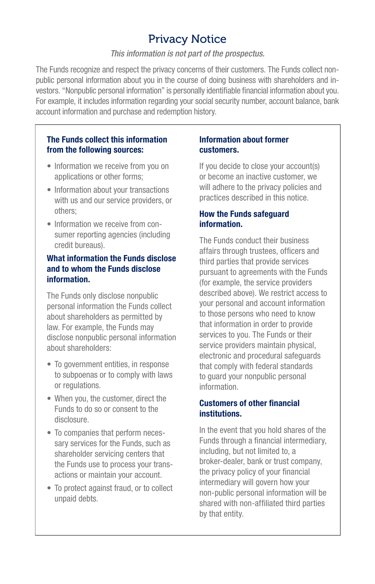# Privacy Notice

#### *This information is not part of the prospectus.*

The Funds recognize and respect the privacy concerns of their customers. The Funds collect nonpublic personal information about you in the course of doing business with shareholders and investors. "Nonpublic personal information" is personally identifiable financial information about you. For example, it includes information regarding your social security number, account balance, bank account information and purchase and redemption history.

#### The Funds collect this information from the following sources:

- Information we receive from you on applications or other forms;
- Information about your transactions with us and our service providers, or others;
- Information we receive from consumer reporting agencies (including credit bureaus).

#### What information the Funds disclose and to whom the Funds disclose information.

The Funds only disclose nonpublic personal information the Funds collect about shareholders as permitted by law. For example, the Funds may disclose nonpublic personal information about shareholders:

- To government entities, in response to subpoenas or to comply with laws or regulations.
- When you, the customer, direct the Funds to do so or consent to the disclosure.
- To companies that perform necessary services for the Funds, such as shareholder servicing centers that the Funds use to process your transactions or maintain your account.
- To protect against fraud, or to collect unpaid debts.

#### Information about former customers.

If you decide to close your account(s) or become an inactive customer, we will adhere to the privacy policies and practices described in this notice.

#### How the Funds safeguard information.

The Funds conduct their business affairs through trustees, officers and third parties that provide services pursuant to agreements with the Funds (for example, the service providers described above). We restrict access to your personal and account information to those persons who need to know that information in order to provide services to you. The Funds or their service providers maintain physical, electronic and procedural safeguards that comply with federal standards to guard your nonpublic personal information.

#### Customers of other financial institutions.

In the event that you hold shares of the Funds through a financial intermediary, including, but not limited to, a broker-dealer, bank or trust company, the privacy policy of your financial intermediary will govern how your non-public personal information will be shared with non-affiliated third parties by that entity.